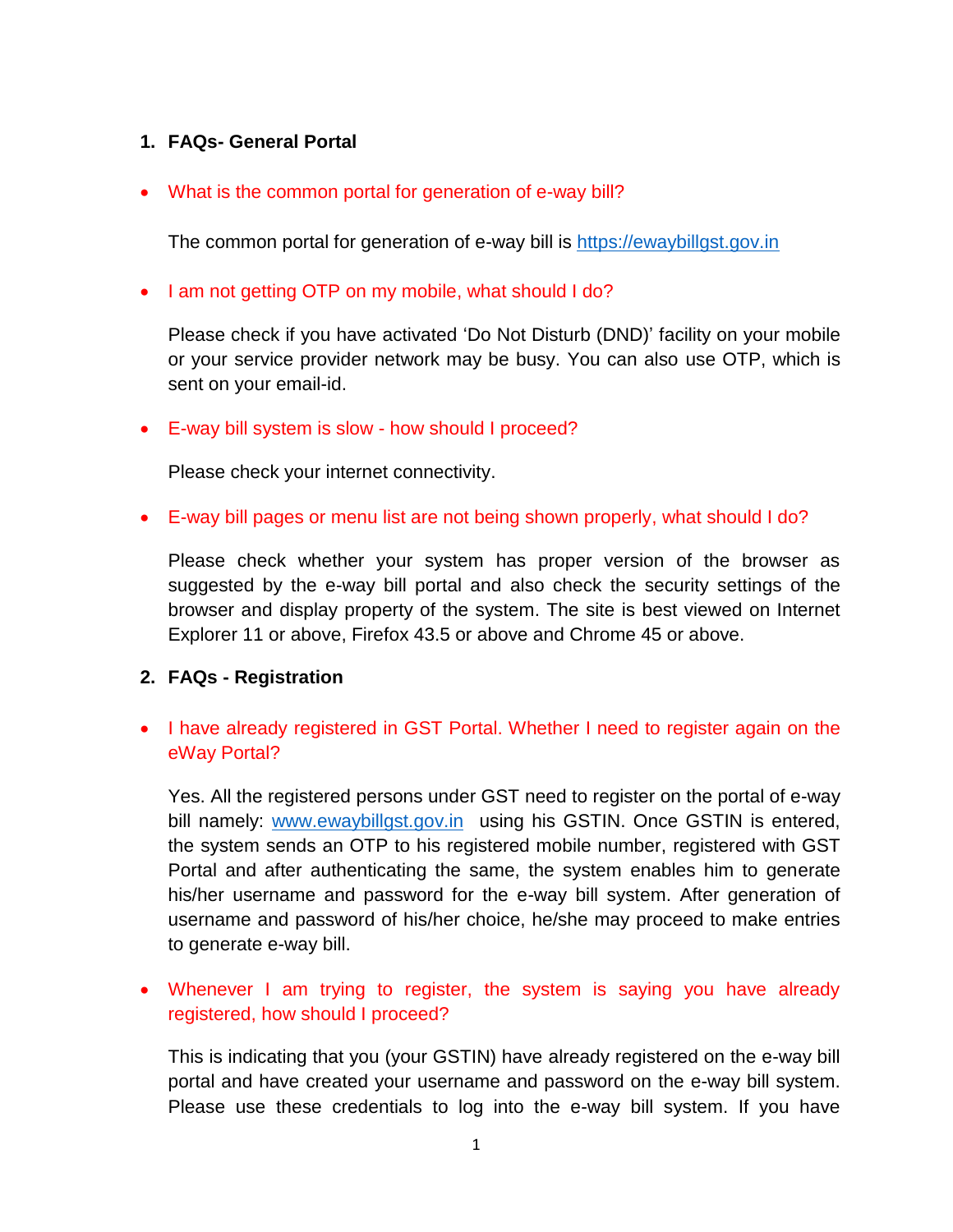## **1. FAQs- General Portal**

## What is the common portal for generation of e-way bill?

The common portal for generation of e-way bill is [https://ewaybillgst.gov.in](https://ewaybillgst.gov.in/)

## • I am not getting OTP on my mobile, what should I do?

Please check if you have activated 'Do Not Disturb (DND)' facility on your mobile or your service provider network may be busy. You can also use OTP, which is sent on your email-id.

### E-way bill system is slow - how should I proceed?

Please check your internet connectivity.

### E-way bill pages or menu list are not being shown properly, what should I do?

Please check whether your system has proper version of the browser as suggested by the e-way bill portal and also check the security settings of the browser and display property of the system. The site is best viewed on Internet Explorer 11 or above, Firefox 43.5 or above and Chrome 45 or above.

## **2. FAQs - Registration**

# • I have already registered in GST Portal. Whether I need to register again on the eWay Portal?

Yes. All the registered persons under GST need to register on the portal of e-way bill namely: [www.ewaybillgst.gov.in](http://www.ewaybillgst.gov.in/) using his GSTIN. Once GSTIN is entered, the system sends an OTP to his registered mobile number, registered with GST Portal and after authenticating the same, the system enables him to generate his/her username and password for the e-way bill system. After generation of username and password of his/her choice, he/she may proceed to make entries to generate e-way bill.

# • Whenever I am trying to register, the system is saying you have already registered, how should I proceed?

This is indicating that you (your GSTIN) have already registered on the e-way bill portal and have created your username and password on the e-way bill system. Please use these credentials to log into the e-way bill system. If you have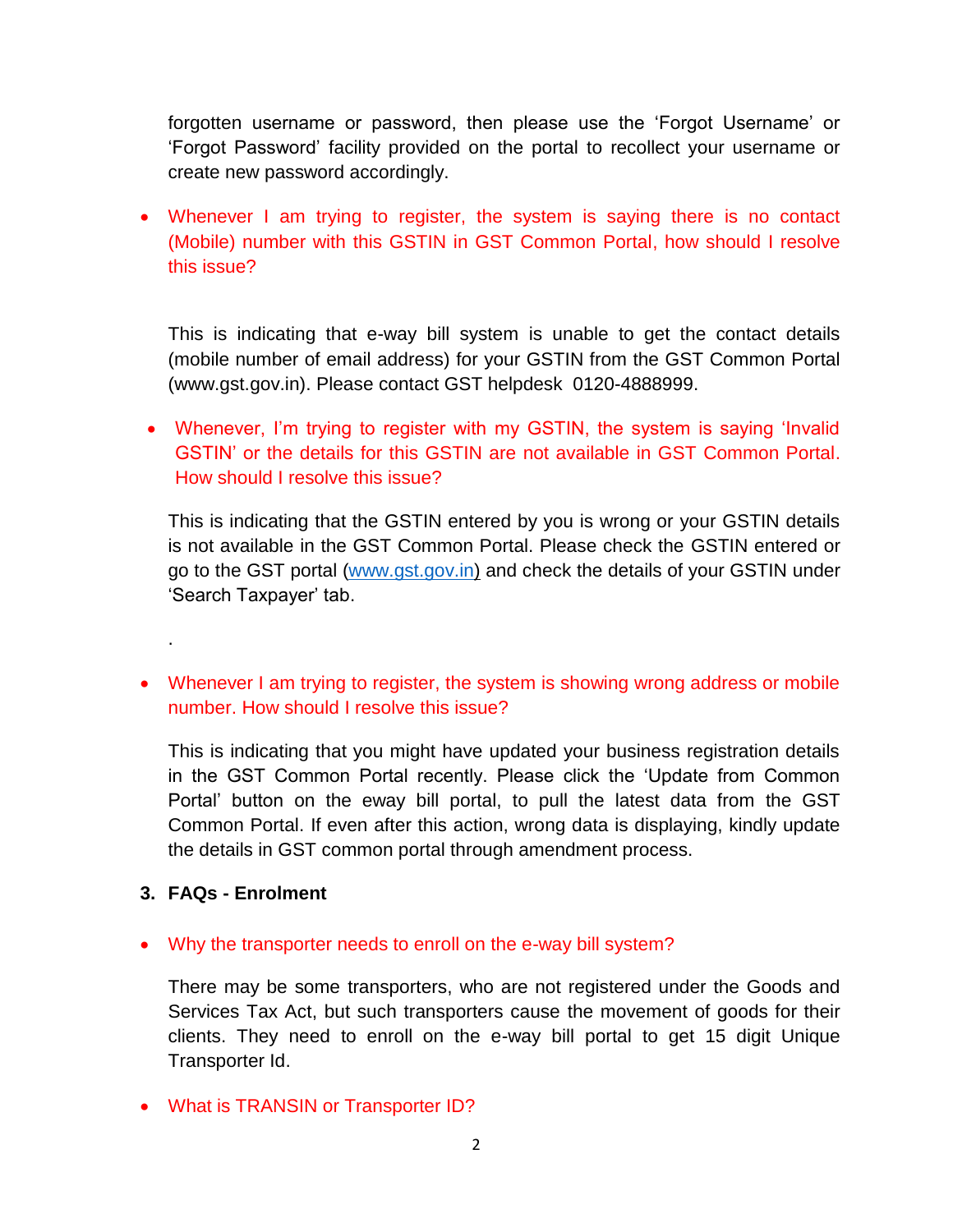forgotten username or password, then please use the 'Forgot Username' or 'Forgot Password' facility provided on the portal to recollect your username or create new password accordingly.

• Whenever I am trying to register, the system is saying there is no contact (Mobile) number with this GSTIN in GST Common Portal, how should I resolve this issue?

This is indicating that e-way bill system is unable to get the contact details (mobile number of email address) for your GSTIN from the GST Common Portal (www.gst.gov.in). Please contact GST helpdesk 0120-4888999.

• Whenever, I'm trying to register with my GSTIN, the system is saying 'Invalid GSTIN' or the details for this GSTIN are not available in GST Common Portal. How should I resolve this issue?

This is indicating that the GSTIN entered by you is wrong or your GSTIN details is not available in the GST Common Portal. Please check the GSTIN entered or go to the GST portal [\(www.gst.gov.in\)](http://www.gst.gov.in/) and check the details of your GSTIN under 'Search Taxpayer' tab.

• Whenever I am trying to register, the system is showing wrong address or mobile number. How should I resolve this issue?

This is indicating that you might have updated your business registration details in the GST Common Portal recently. Please click the 'Update from Common Portal' button on the eway bill portal, to pull the latest data from the GST Common Portal. If even after this action, wrong data is displaying, kindly update the details in GST common portal through amendment process.

**3. FAQs - Enrolment** 

.

Why the transporter needs to enroll on the e-way bill system?

There may be some transporters, who are not registered under the Goods and Services Tax Act, but such transporters cause the movement of goods for their clients. They need to enroll on the e-way bill portal to get 15 digit Unique Transporter Id.

What is TRANSIN or Transporter ID?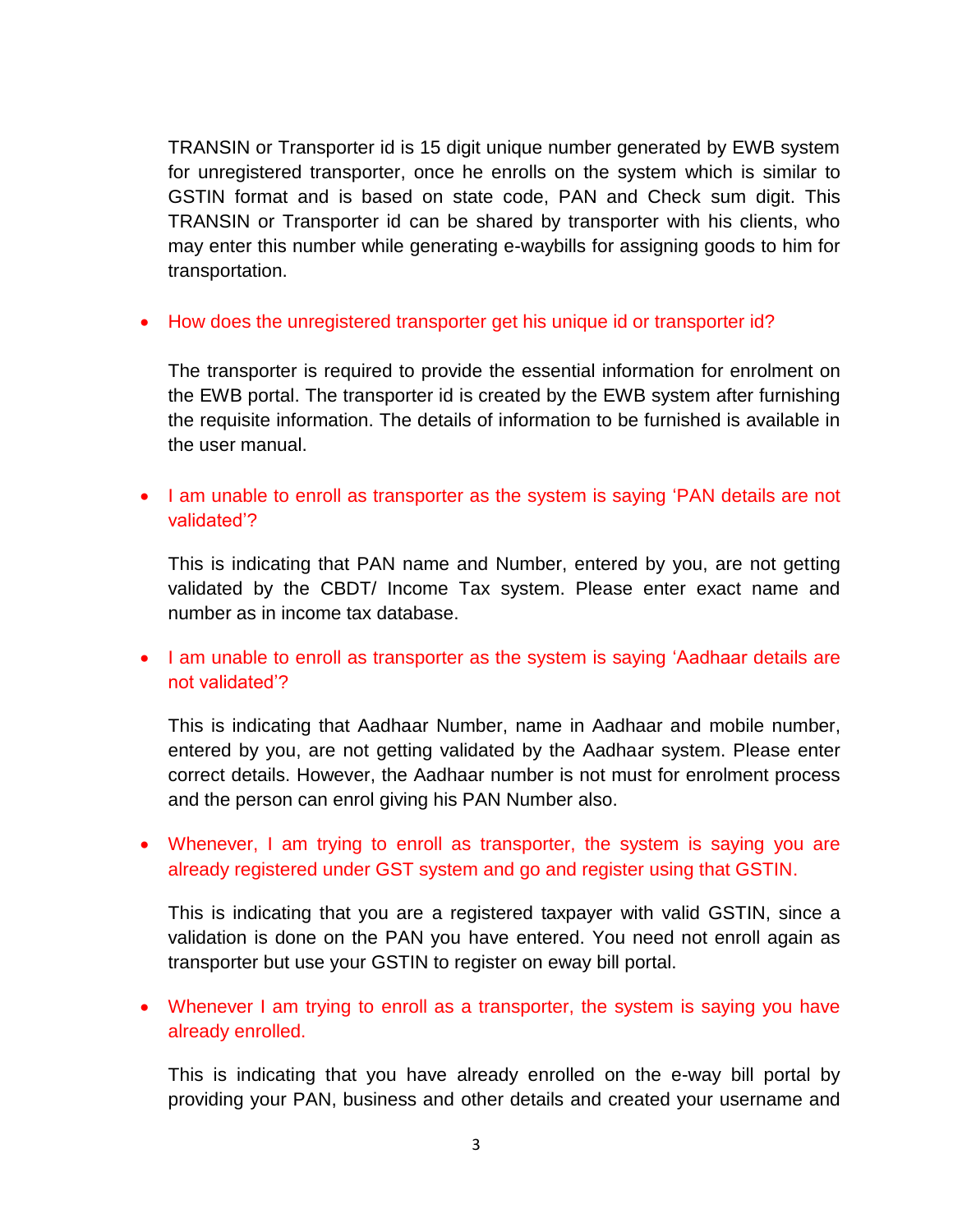TRANSIN or Transporter id is 15 digit unique number generated by EWB system for unregistered transporter, once he enrolls on the system which is similar to GSTIN format and is based on state code, PAN and Check sum digit. This TRANSIN or Transporter id can be shared by transporter with his clients, who may enter this number while generating e-waybills for assigning goods to him for transportation.

• How does the unregistered transporter get his unique id or transporter id?

The transporter is required to provide the essential information for enrolment on the EWB portal. The transporter id is created by the EWB system after furnishing the requisite information. The details of information to be furnished is available in the user manual.

• I am unable to enroll as transporter as the system is saying 'PAN details are not validated'?

This is indicating that PAN name and Number, entered by you, are not getting validated by the CBDT/ Income Tax system. Please enter exact name and number as in income tax database.

• I am unable to enroll as transporter as the system is saying 'Aadhaar details are not validated'?

This is indicating that Aadhaar Number, name in Aadhaar and mobile number, entered by you, are not getting validated by the Aadhaar system. Please enter correct details. However, the Aadhaar number is not must for enrolment process and the person can enrol giving his PAN Number also.

 Whenever, I am trying to enroll as transporter, the system is saying you are already registered under GST system and go and register using that GSTIN.

This is indicating that you are a registered taxpayer with valid GSTIN, since a validation is done on the PAN you have entered. You need not enroll again as transporter but use your GSTIN to register on eway bill portal.

• Whenever I am trying to enroll as a transporter, the system is saying you have already enrolled.

This is indicating that you have already enrolled on the e-way bill portal by providing your PAN, business and other details and created your username and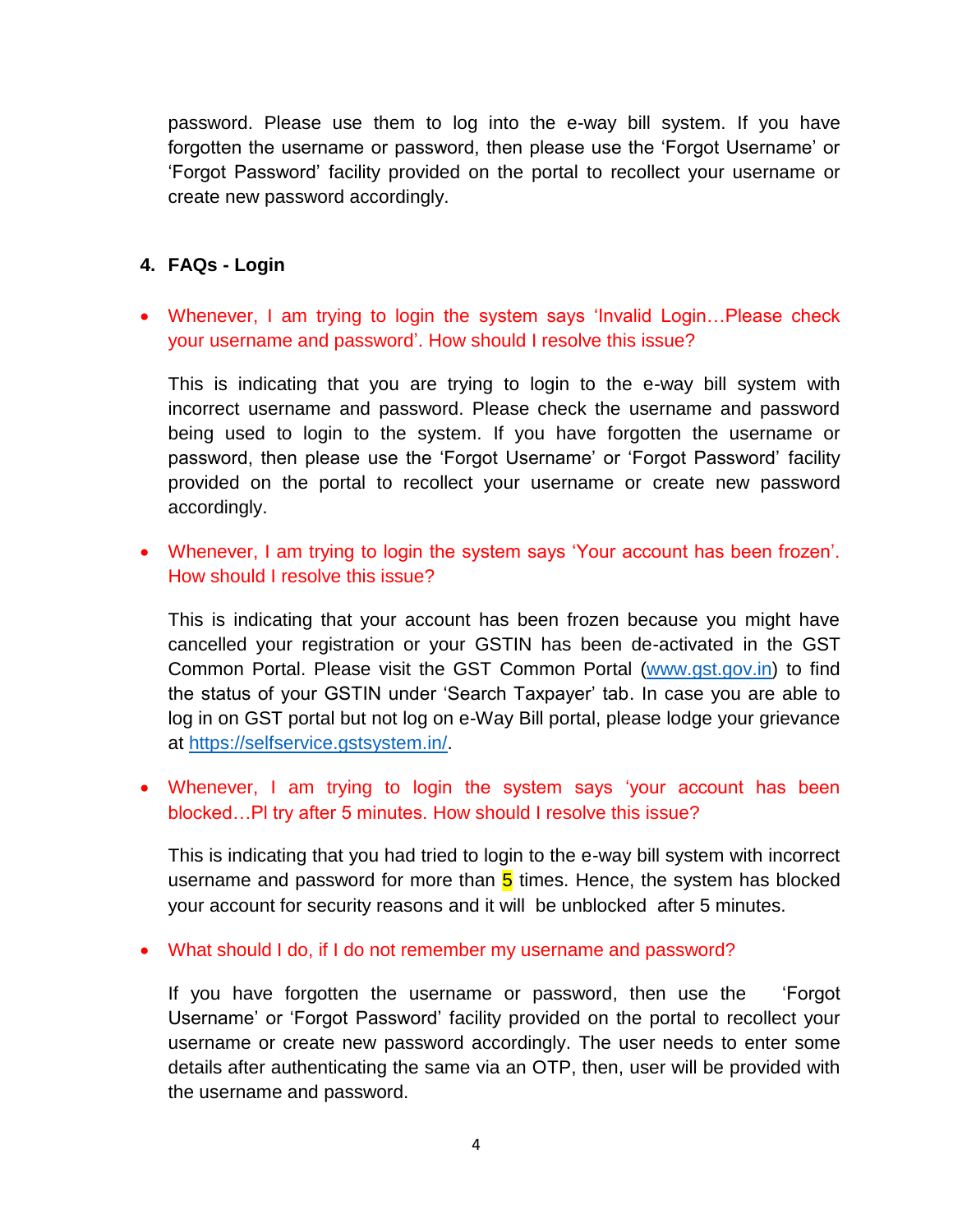password. Please use them to log into the e-way bill system. If you have forgotten the username or password, then please use the 'Forgot Username' or 'Forgot Password' facility provided on the portal to recollect your username or create new password accordingly.

## **4. FAQs - Login**

 Whenever, I am trying to login the system says 'Invalid Login…Please check your username and password'. How should I resolve this issue?

This is indicating that you are trying to login to the e-way bill system with incorrect username and password. Please check the username and password being used to login to the system. If you have forgotten the username or password, then please use the 'Forgot Username' or 'Forgot Password' facility provided on the portal to recollect your username or create new password accordingly.

 Whenever, I am trying to login the system says 'Your account has been frozen'. How should I resolve this issue?

This is indicating that your account has been frozen because you might have cancelled your registration or your GSTIN has been de-activated in the GST Common Portal. Please visit the GST Common Portal [\(www.gst.gov.in\)](http://www.gst.gov.in/) to find the status of your GSTIN under 'Search Taxpayer' tab. In case you are able to log in on GST portal but not log on e-Way Bill portal, please lodge your grievance at [https://selfservice.gstsystem.in/.](https://selfservice.gstsystem.in/)

 Whenever, I am trying to login the system says 'your account has been blocked…Pl try after 5 minutes. How should I resolve this issue?

This is indicating that you had tried to login to the e-way bill system with incorrect username and password for more than  $5$  times. Hence, the system has blocked your account for security reasons and it will be unblocked after 5 minutes.

What should I do, if I do not remember my username and password?

If you have forgotten the username or password, then use the 'Forgot Username' or 'Forgot Password' facility provided on the portal to recollect your username or create new password accordingly. The user needs to enter some details after authenticating the same via an OTP, then, user will be provided with the username and password.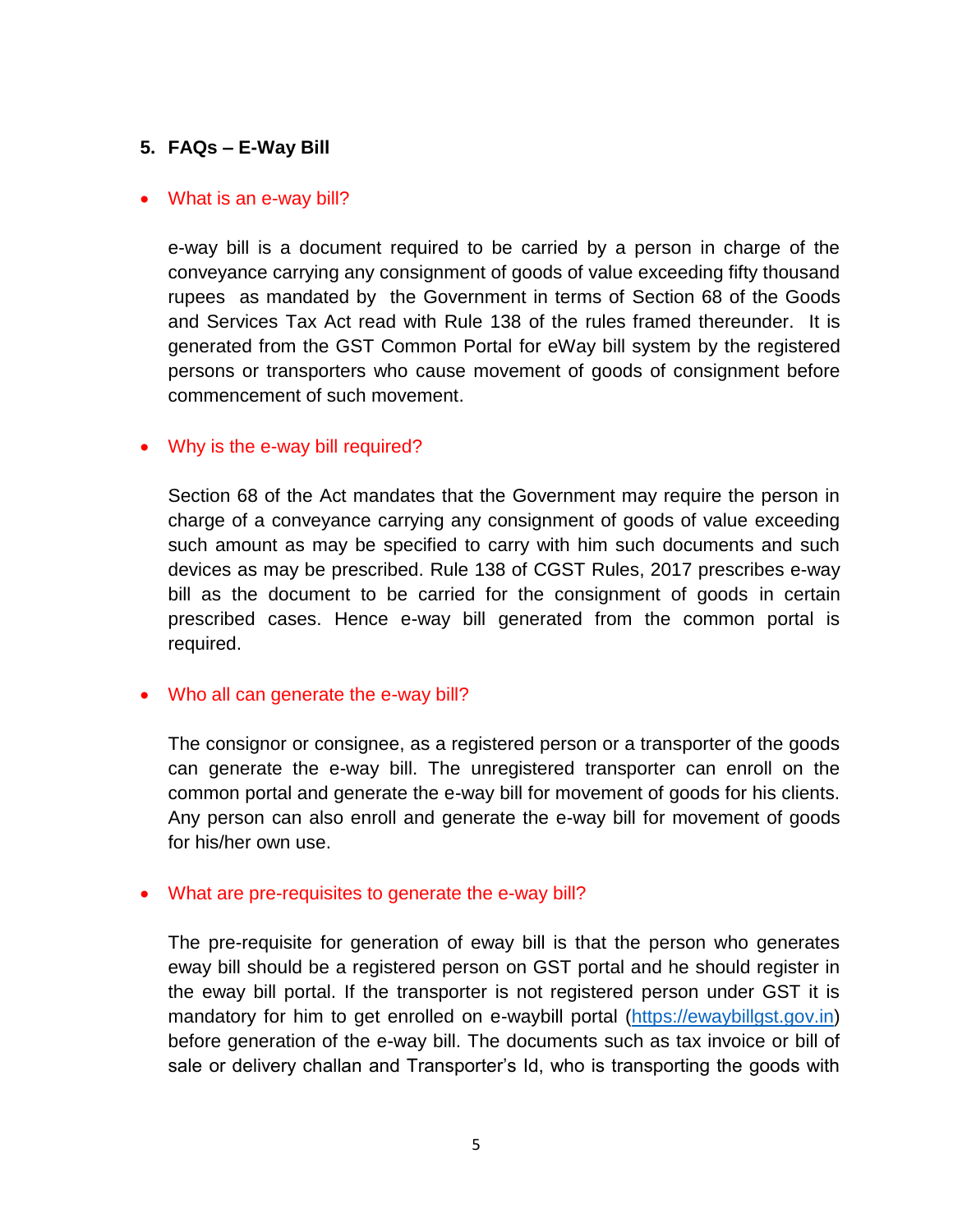# **5. FAQs – E-Way Bill**

#### • What is an e-way bill?

e-way bill is a document required to be carried by a person in charge of the conveyance carrying any consignment of goods of value exceeding fifty thousand rupees as mandated by the Government in terms of Section 68 of the Goods and Services Tax Act read with Rule 138 of the rules framed thereunder. It is generated from the GST Common Portal for eWay bill system by the registered persons or transporters who cause movement of goods of consignment before commencement of such movement.

#### • Why is the e-way bill required?

Section 68 of the Act mandates that the Government may require the person in charge of a conveyance carrying any consignment of goods of value exceeding such amount as may be specified to carry with him such documents and such devices as may be prescribed. Rule 138 of CGST Rules, 2017 prescribes e-way bill as the document to be carried for the consignment of goods in certain prescribed cases. Hence e-way bill generated from the common portal is required.

#### • Who all can generate the e-way bill?

The consignor or consignee, as a registered person or a transporter of the goods can generate the e-way bill. The unregistered transporter can enroll on the common portal and generate the e-way bill for movement of goods for his clients. Any person can also enroll and generate the e-way bill for movement of goods for his/her own use.

#### What are pre-requisites to generate the e-way bill?

The pre-requisite for generation of eway bill is that the person who generates eway bill should be a registered person on GST portal and he should register in the eway bill portal. If the transporter is not registered person under GST it is mandatory for him to get enrolled on e-waybill portal [\(https://ewaybillgst.gov.in\)](https://ewaybillgst.gov.in/) before generation of the e-way bill. The documents such as tax invoice or bill of sale or delivery challan and Transporter's Id, who is transporting the goods with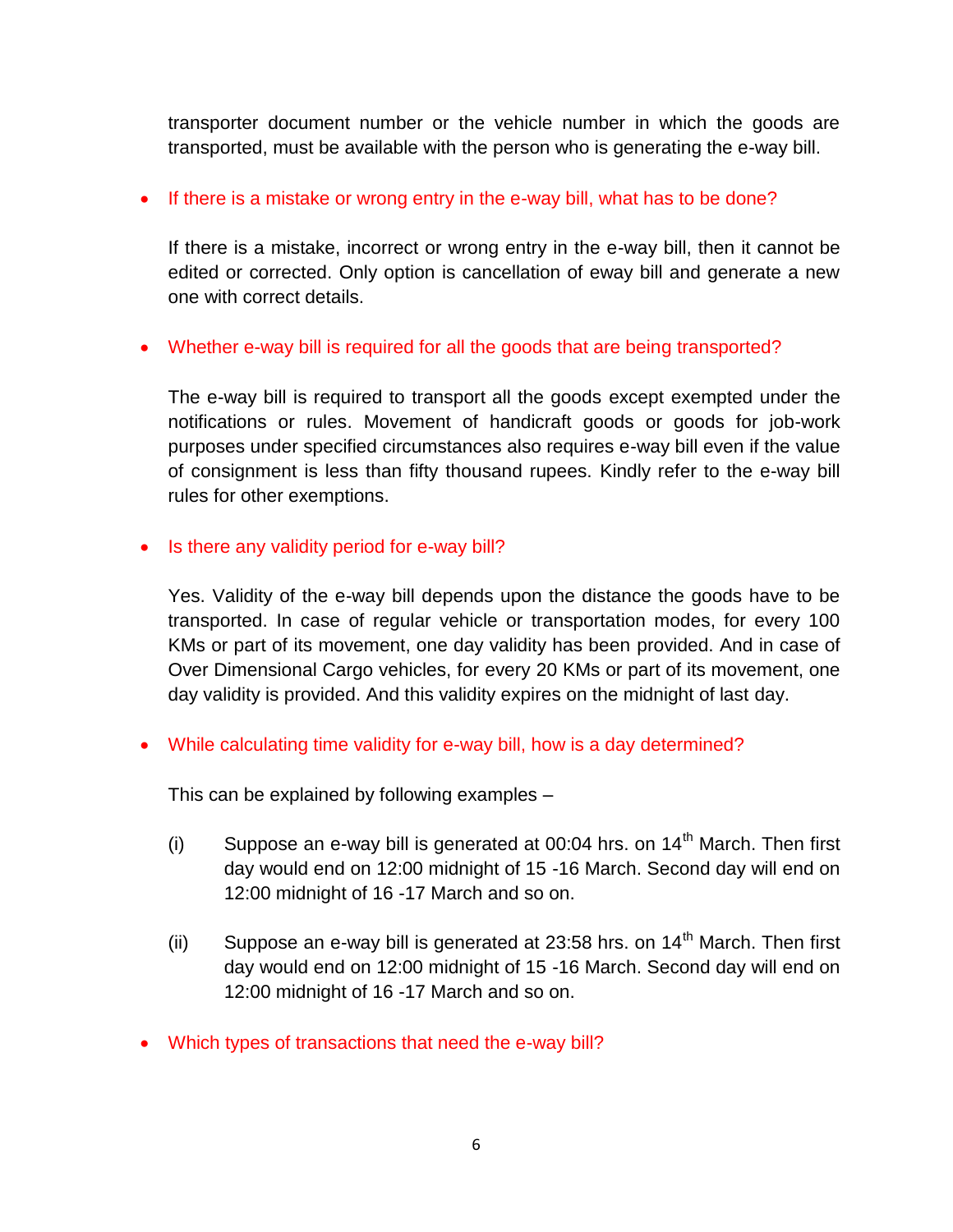transporter document number or the vehicle number in which the goods are transported, must be available with the person who is generating the e-way bill.

## • If there is a mistake or wrong entry in the e-way bill, what has to be done?

If there is a mistake, incorrect or wrong entry in the e-way bill, then it cannot be edited or corrected. Only option is cancellation of eway bill and generate a new one with correct details.

## Whether e-way bill is required for all the goods that are being transported?

The e-way bill is required to transport all the goods except exempted under the notifications or rules. Movement of handicraft goods or goods for job-work purposes under specified circumstances also requires e-way bill even if the value of consignment is less than fifty thousand rupees. Kindly refer to the e-way bill rules for other exemptions.

## • Is there any validity period for e-way bill?

Yes. Validity of the e-way bill depends upon the distance the goods have to be transported. In case of regular vehicle or transportation modes, for every 100 KMs or part of its movement, one day validity has been provided. And in case of Over Dimensional Cargo vehicles, for every 20 KMs or part of its movement, one day validity is provided. And this validity expires on the midnight of last day.

While calculating time validity for e-way bill, how is a day determined?

This can be explained by following examples –

- (i) Suppose an e-way bill is generated at 00:04 hrs. on  $14<sup>th</sup>$  March. Then first day would end on 12:00 midnight of 15 -16 March. Second day will end on 12:00 midnight of 16 -17 March and so on.
- (ii) Suppose an e-way bill is generated at 23:58 hrs. on  $14<sup>th</sup>$  March. Then first day would end on 12:00 midnight of 15 -16 March. Second day will end on 12:00 midnight of 16 -17 March and so on.
- Which types of transactions that need the e-way bill?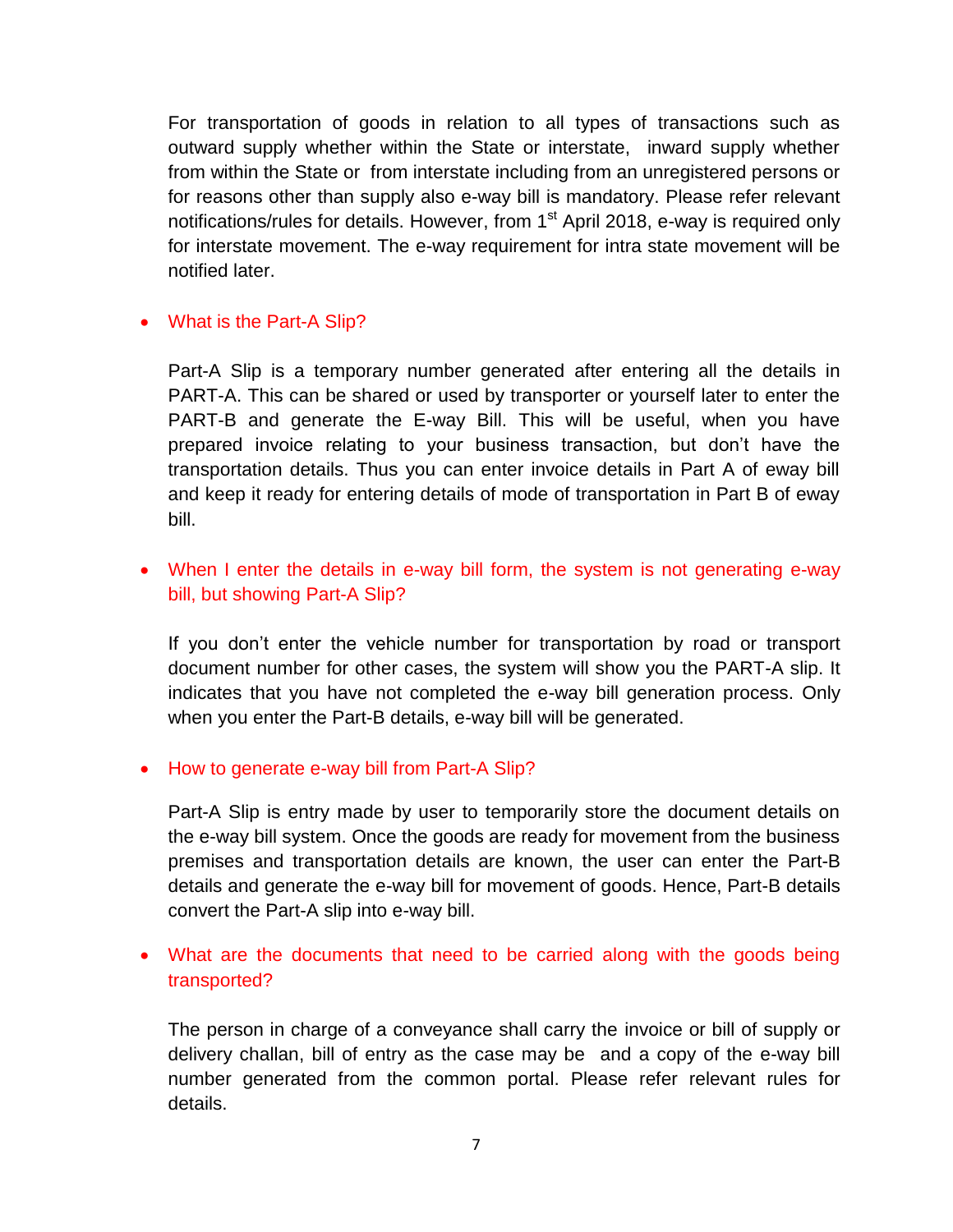For transportation of goods in relation to all types of transactions such as outward supply whether within the State or interstate, inward supply whether from within the State or from interstate including from an unregistered persons or for reasons other than supply also e-way bill is mandatory. Please refer relevant notifications/rules for details. However, from 1<sup>st</sup> April 2018, e-way is required only for interstate movement. The e-way requirement for intra state movement will be notified later.

## • What is the Part-A Slip?

Part-A Slip is a temporary number generated after entering all the details in PART-A. This can be shared or used by transporter or yourself later to enter the PART-B and generate the E-way Bill. This will be useful, when you have prepared invoice relating to your business transaction, but don't have the transportation details. Thus you can enter invoice details in Part A of eway bill and keep it ready for entering details of mode of transportation in Part B of eway bill.

# When I enter the details in e-way bill form, the system is not generating e-way bill, but showing Part-A Slip?

If you don't enter the vehicle number for transportation by road or transport document number for other cases, the system will show you the PART-A slip. It indicates that you have not completed the e-way bill generation process. Only when you enter the Part-B details, e-way bill will be generated.

## • How to generate e-way bill from Part-A Slip?

Part-A Slip is entry made by user to temporarily store the document details on the e-way bill system. Once the goods are ready for movement from the business premises and transportation details are known, the user can enter the Part-B details and generate the e-way bill for movement of goods. Hence, Part-B details convert the Part-A slip into e-way bill.

• What are the documents that need to be carried along with the goods being transported?

The person in charge of a conveyance shall carry the invoice or bill of supply or delivery challan, bill of entry as the case may be and a copy of the e-way bill number generated from the common portal. Please refer relevant rules for details.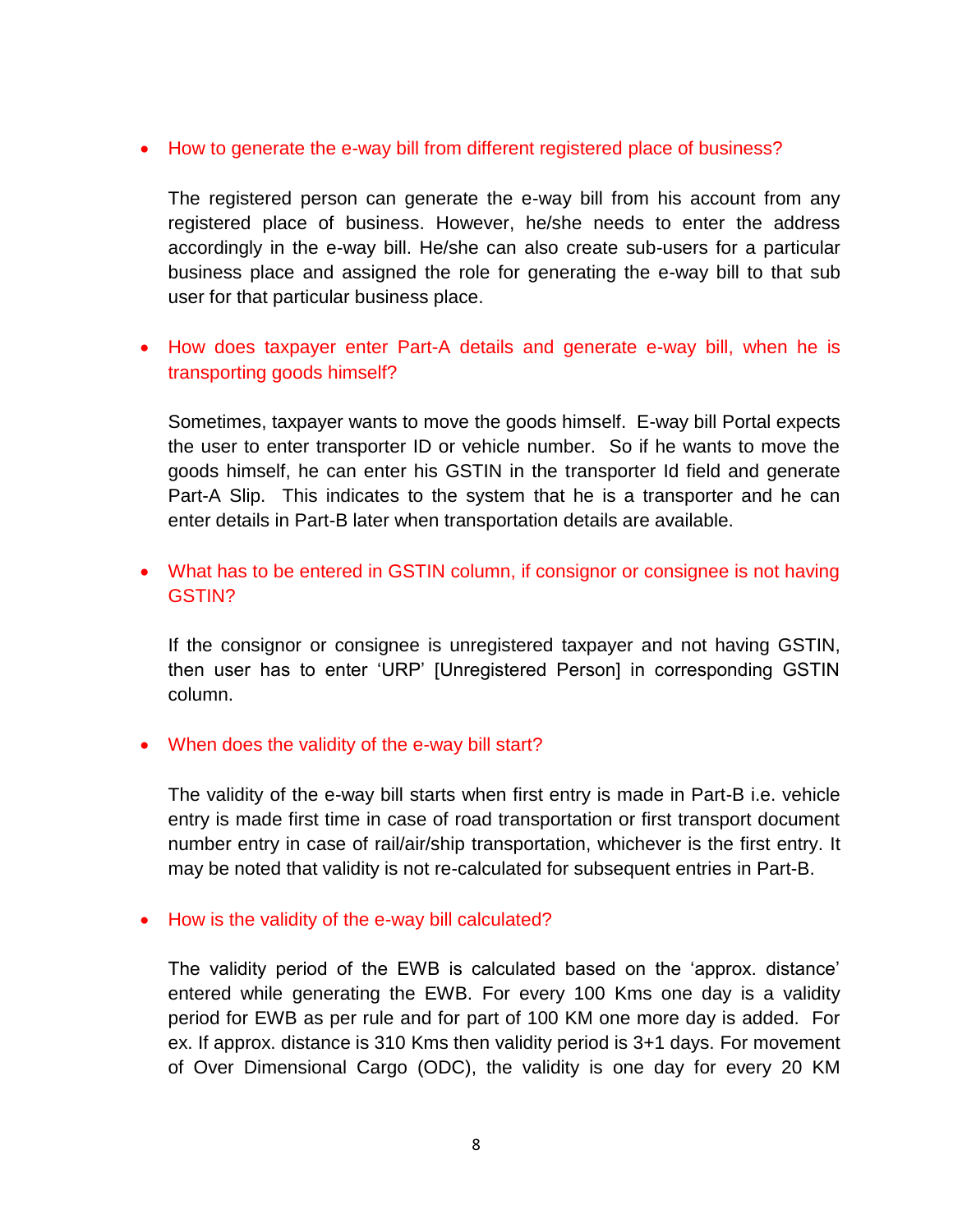### • How to generate the e-way bill from different registered place of business?

The registered person can generate the e-way bill from his account from any registered place of business. However, he/she needs to enter the address accordingly in the e-way bill. He/she can also create sub-users for a particular business place and assigned the role for generating the e-way bill to that sub user for that particular business place.

# • How does taxpayer enter Part-A details and generate e-way bill, when he is transporting goods himself?

Sometimes, taxpayer wants to move the goods himself. E-way bill Portal expects the user to enter transporter ID or vehicle number. So if he wants to move the goods himself, he can enter his GSTIN in the transporter Id field and generate Part-A Slip. This indicates to the system that he is a transporter and he can enter details in Part-B later when transportation details are available.

# What has to be entered in GSTIN column, if consignor or consignee is not having GSTIN?

If the consignor or consignee is unregistered taxpayer and not having GSTIN, then user has to enter 'URP' [Unregistered Person] in corresponding GSTIN column.

#### When does the validity of the e-way bill start?

The validity of the e-way bill starts when first entry is made in Part-B i.e. vehicle entry is made first time in case of road transportation or first transport document number entry in case of rail/air/ship transportation, whichever is the first entry. It may be noted that validity is not re-calculated for subsequent entries in Part-B.

#### • How is the validity of the e-way bill calculated?

The validity period of the EWB is calculated based on the 'approx. distance' entered while generating the EWB. For every 100 Kms one day is a validity period for EWB as per rule and for part of 100 KM one more day is added. For ex. If approx. distance is 310 Kms then validity period is 3+1 days. For movement of Over Dimensional Cargo (ODC), the validity is one day for every 20 KM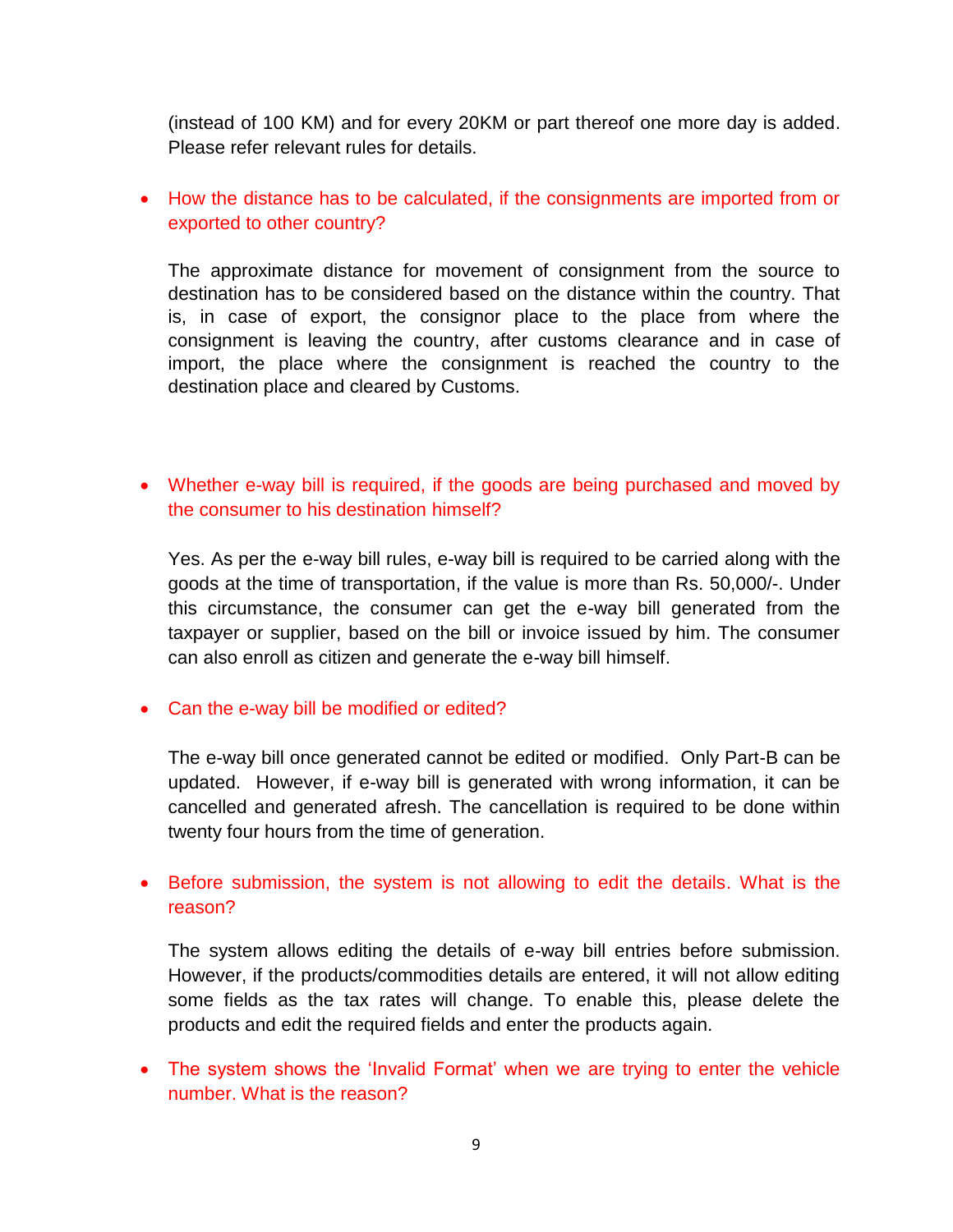(instead of 100 KM) and for every 20KM or part thereof one more day is added. Please refer relevant rules for details.

# How the distance has to be calculated, if the consignments are imported from or exported to other country?

The approximate distance for movement of consignment from the source to destination has to be considered based on the distance within the country. That is, in case of export, the consignor place to the place from where the consignment is leaving the country, after customs clearance and in case of import, the place where the consignment is reached the country to the destination place and cleared by Customs.

# Whether e-way bill is required, if the goods are being purchased and moved by the consumer to his destination himself?

Yes. As per the e-way bill rules, e-way bill is required to be carried along with the goods at the time of transportation, if the value is more than Rs. 50,000/-. Under this circumstance, the consumer can get the e-way bill generated from the taxpayer or supplier, based on the bill or invoice issued by him. The consumer can also enroll as citizen and generate the e-way bill himself.

## • Can the e-way bill be modified or edited?

The e-way bill once generated cannot be edited or modified. Only Part-B can be updated. However, if e-way bill is generated with wrong information, it can be cancelled and generated afresh. The cancellation is required to be done within twenty four hours from the time of generation.

# Before submission, the system is not allowing to edit the details. What is the reason?

The system allows editing the details of e-way bill entries before submission. However, if the products/commodities details are entered, it will not allow editing some fields as the tax rates will change. To enable this, please delete the products and edit the required fields and enter the products again.

• The system shows the 'Invalid Format' when we are trying to enter the vehicle number. What is the reason?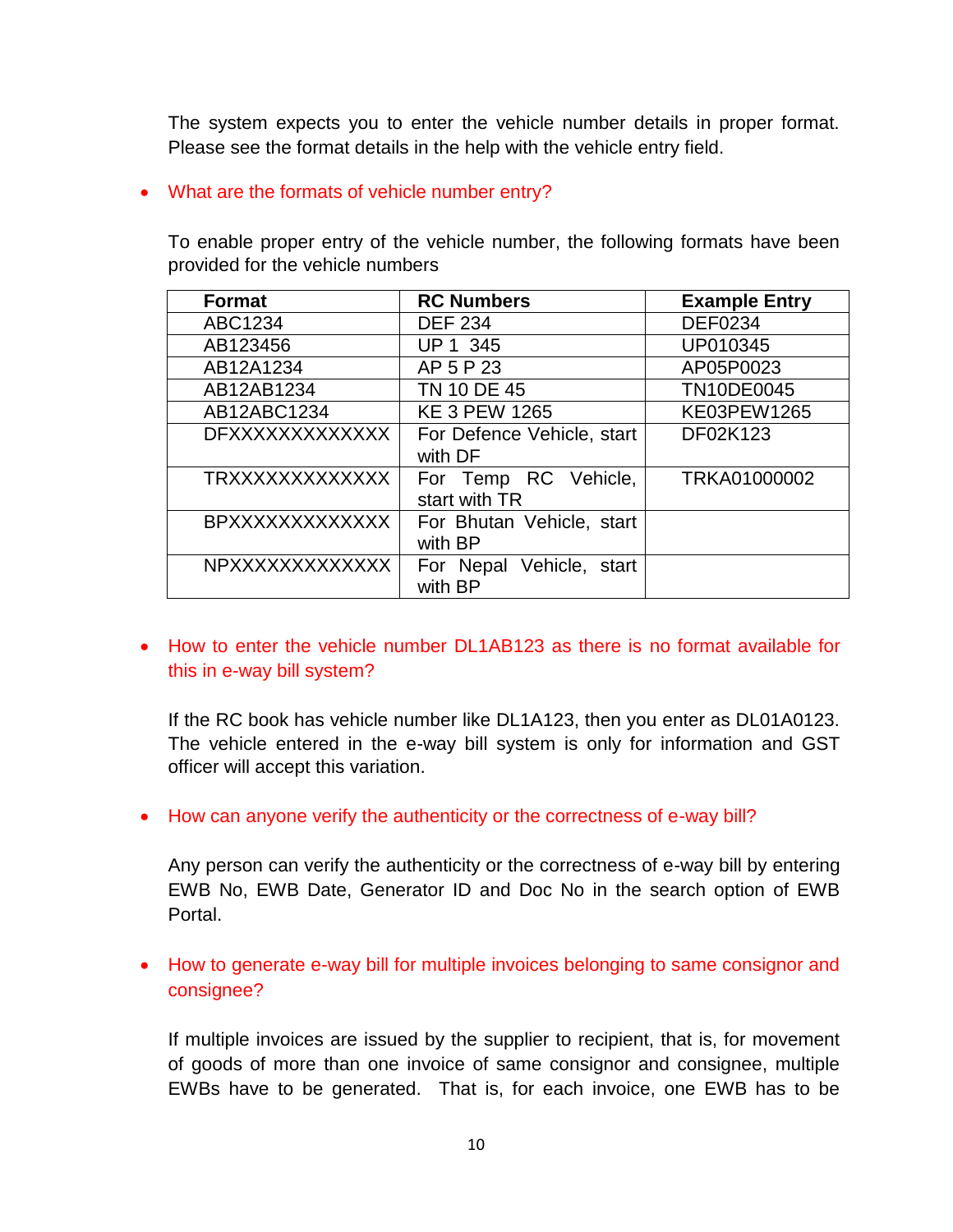The system expects you to enter the vehicle number details in proper format. Please see the format details in the help with the vehicle entry field.

## • What are the formats of vehicle number entry?

To enable proper entry of the vehicle number, the following formats have been provided for the vehicle numbers

| <b>Format</b>          | <b>RC Numbers</b>                     | <b>Example Entry</b> |
|------------------------|---------------------------------------|----------------------|
| ABC1234                | <b>DEF 234</b>                        | <b>DEF0234</b>       |
| AB123456               | UP 1 345                              | UP010345             |
| AB12A1234              | AP 5 P 23                             | AP05P0023            |
| AB12AB1234             | TN 10 DE 45                           | TN10DE0045           |
| AB12ABC1234            | <b>KE 3 PEW 1265</b>                  | KE03PEW1265          |
| <b>DFXXXXXXXXXXXX</b>  | For Defence Vehicle, start<br>with DF | DF02K123             |
| <b>TRXXXXXXXXXXXX</b>  | For Temp RC Vehicle,<br>start with TR | TRKA01000002         |
| <b>BPXXXXXXXXXXXXX</b> | For Bhutan Vehicle, start<br>with BP  |                      |
| NPXXXXXXXXXXXXX        | For Nepal Vehicle, start<br>with BP   |                      |

 How to enter the vehicle number DL1AB123 as there is no format available for this in e-way bill system?

If the RC book has vehicle number like DL1A123, then you enter as DL01A0123. The vehicle entered in the e-way bill system is only for information and GST officer will accept this variation.

• How can anyone verify the authenticity or the correctness of e-way bill?

Any person can verify the authenticity or the correctness of e-way bill by entering EWB No, EWB Date, Generator ID and Doc No in the search option of EWB Portal.

• How to generate e-way bill for multiple invoices belonging to same consignor and consignee?

If multiple invoices are issued by the supplier to recipient, that is, for movement of goods of more than one invoice of same consignor and consignee, multiple EWBs have to be generated. That is, for each invoice, one EWB has to be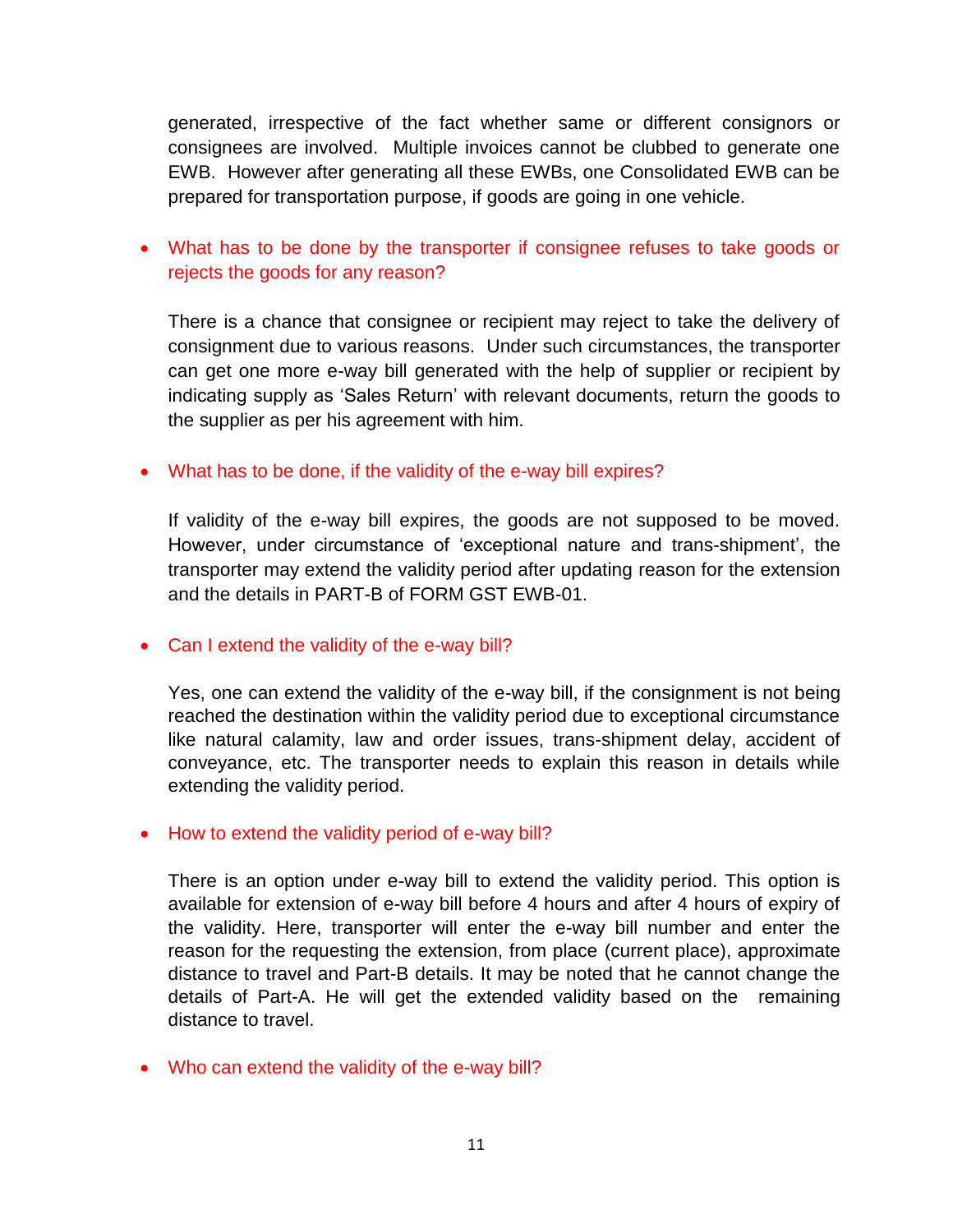generated, irrespective of the fact whether same or different consignors or consignees are involved. Multiple invoices cannot be clubbed to generate one EWB. However after generating all these EWBs, one Consolidated EWB can be prepared for transportation purpose, if goods are going in one vehicle.

# What has to be done by the transporter if consignee refuses to take goods or rejects the goods for any reason?

There is a chance that consignee or recipient may reject to take the delivery of consignment due to various reasons. Under such circumstances, the transporter can get one more e-way bill generated with the help of supplier or recipient by indicating supply as 'Sales Return' with relevant documents, return the goods to the supplier as per his agreement with him.

## What has to be done, if the validity of the e-way bill expires?

If validity of the e-way bill expires, the goods are not supposed to be moved. However, under circumstance of 'exceptional nature and trans-shipment', the transporter may extend the validity period after updating reason for the extension and the details in PART-B of FORM GST EWB-01.

## • Can I extend the validity of the e-way bill?

Yes, one can extend the validity of the e-way bill, if the consignment is not being reached the destination within the validity period due to exceptional circumstance like natural calamity, law and order issues, trans-shipment delay, accident of conveyance, etc. The transporter needs to explain this reason in details while extending the validity period.

## • How to extend the validity period of e-way bill?

There is an option under e-way bill to extend the validity period. This option is available for extension of e-way bill before 4 hours and after 4 hours of expiry of the validity. Here, transporter will enter the e-way bill number and enter the reason for the requesting the extension, from place (current place), approximate distance to travel and Part-B details. It may be noted that he cannot change the details of Part-A. He will get the extended validity based on the remaining distance to travel.

Who can extend the validity of the e-way bill?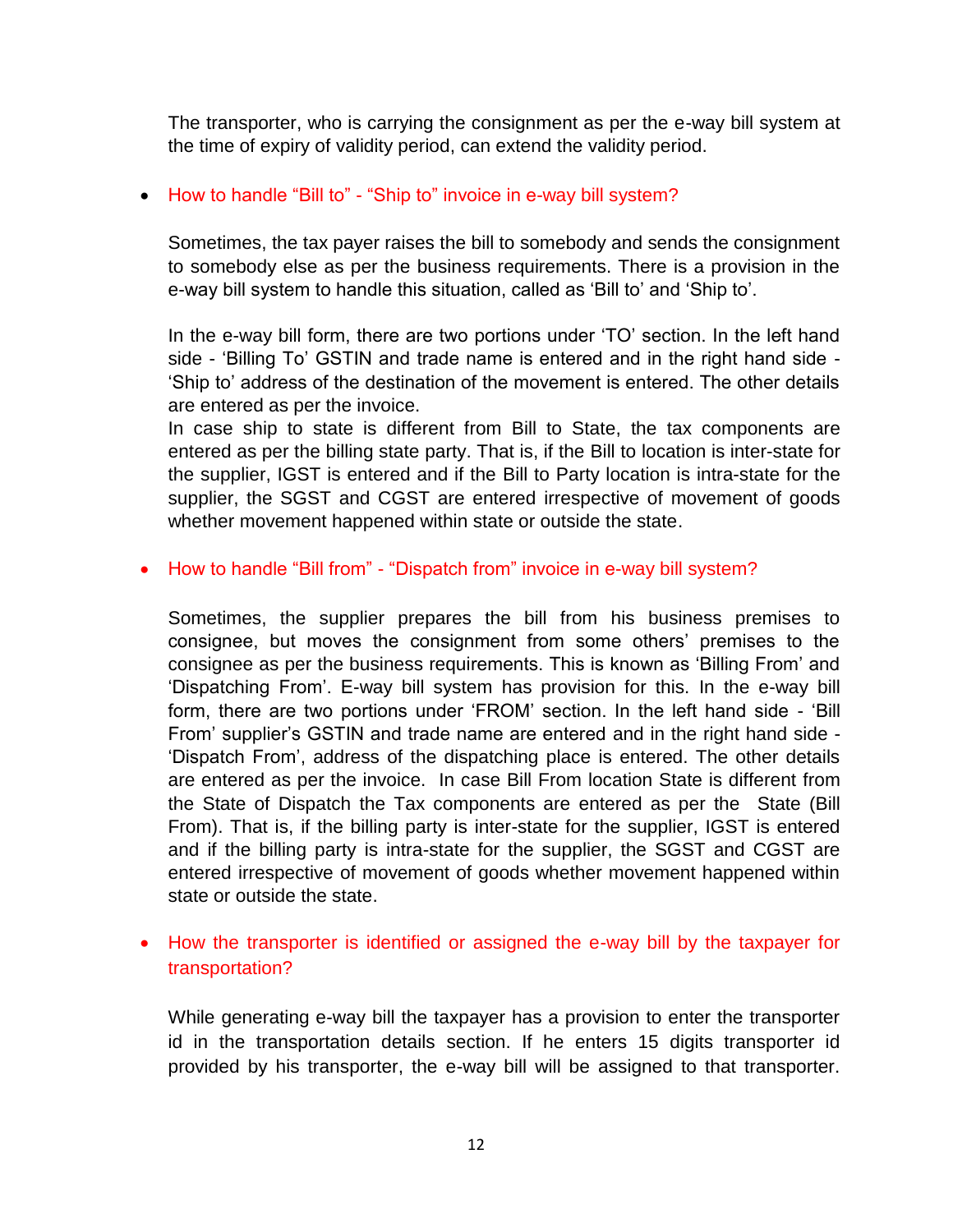The transporter, who is carrying the consignment as per the e-way bill system at the time of expiry of validity period, can extend the validity period.

## • How to handle "Bill to" - "Ship to" invoice in e-way bill system?

Sometimes, the tax payer raises the bill to somebody and sends the consignment to somebody else as per the business requirements. There is a provision in the e-way bill system to handle this situation, called as 'Bill to' and 'Ship to'.

In the e-way bill form, there are two portions under 'TO' section. In the left hand side - 'Billing To' GSTIN and trade name is entered and in the right hand side - 'Ship to' address of the destination of the movement is entered. The other details are entered as per the invoice.

In case ship to state is different from Bill to State, the tax components are entered as per the billing state party. That is, if the Bill to location is inter-state for the supplier, IGST is entered and if the Bill to Party location is intra-state for the supplier, the SGST and CGST are entered irrespective of movement of goods whether movement happened within state or outside the state.

## • How to handle "Bill from" - "Dispatch from" invoice in e-way bill system?

Sometimes, the supplier prepares the bill from his business premises to consignee, but moves the consignment from some others' premises to the consignee as per the business requirements. This is known as 'Billing From' and 'Dispatching From'. E-way bill system has provision for this. In the e-way bill form, there are two portions under 'FROM' section. In the left hand side - 'Bill From' supplier's GSTIN and trade name are entered and in the right hand side - 'Dispatch From', address of the dispatching place is entered. The other details are entered as per the invoice. In case Bill From location State is different from the State of Dispatch the Tax components are entered as per the State (Bill From). That is, if the billing party is inter-state for the supplier, IGST is entered and if the billing party is intra-state for the supplier, the SGST and CGST are entered irrespective of movement of goods whether movement happened within state or outside the state.

# • How the transporter is identified or assigned the e-way bill by the taxpayer for transportation?

While generating e-way bill the taxpayer has a provision to enter the transporter id in the transportation details section. If he enters 15 digits transporter id provided by his transporter, the e-way bill will be assigned to that transporter.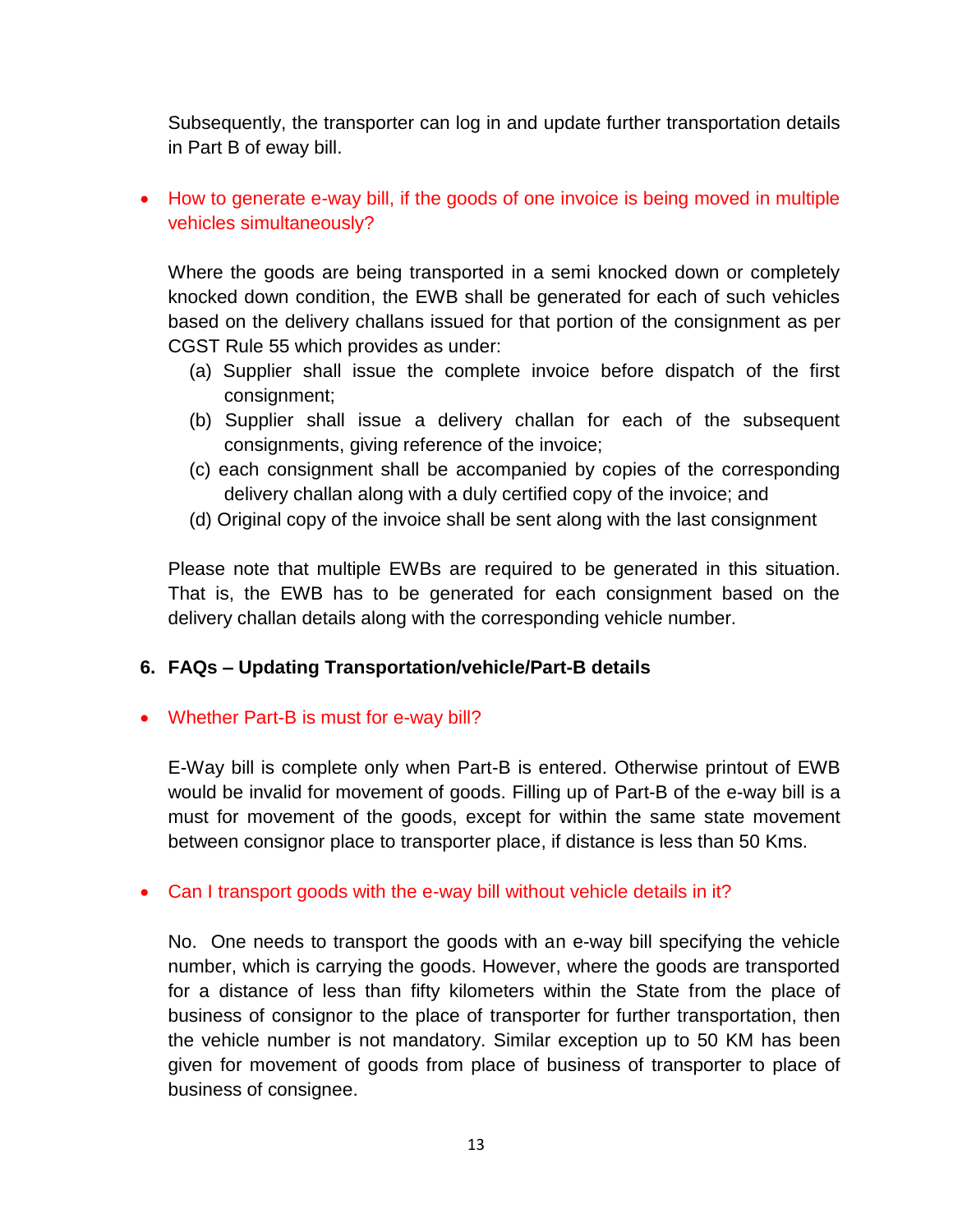Subsequently, the transporter can log in and update further transportation details in Part B of eway bill.

 How to generate e-way bill, if the goods of one invoice is being moved in multiple vehicles simultaneously?

Where the goods are being transported in a semi knocked down or completely knocked down condition, the EWB shall be generated for each of such vehicles based on the delivery challans issued for that portion of the consignment as per CGST Rule 55 which provides as under:

- (a) Supplier shall issue the complete invoice before dispatch of the first consignment;
- (b) Supplier shall issue a delivery challan for each of the subsequent consignments, giving reference of the invoice;
- (c) each consignment shall be accompanied by copies of the corresponding delivery challan along with a duly certified copy of the invoice; and
- (d) Original copy of the invoice shall be sent along with the last consignment

Please note that multiple EWBs are required to be generated in this situation. That is, the EWB has to be generated for each consignment based on the delivery challan details along with the corresponding vehicle number.

# **6. FAQs – Updating Transportation/vehicle/Part-B details**

## Whether Part-B is must for e-way bill?

E-Way bill is complete only when Part-B is entered. Otherwise printout of EWB would be invalid for movement of goods. Filling up of Part-B of the e-way bill is a must for movement of the goods, except for within the same state movement between consignor place to transporter place, if distance is less than 50 Kms.

## • Can I transport goods with the e-way bill without vehicle details in it?

No. One needs to transport the goods with an e-way bill specifying the vehicle number, which is carrying the goods. However, where the goods are transported for a distance of less than fifty kilometers within the State from the place of business of consignor to the place of transporter for further transportation, then the vehicle number is not mandatory. Similar exception up to 50 KM has been given for movement of goods from place of business of transporter to place of business of consignee.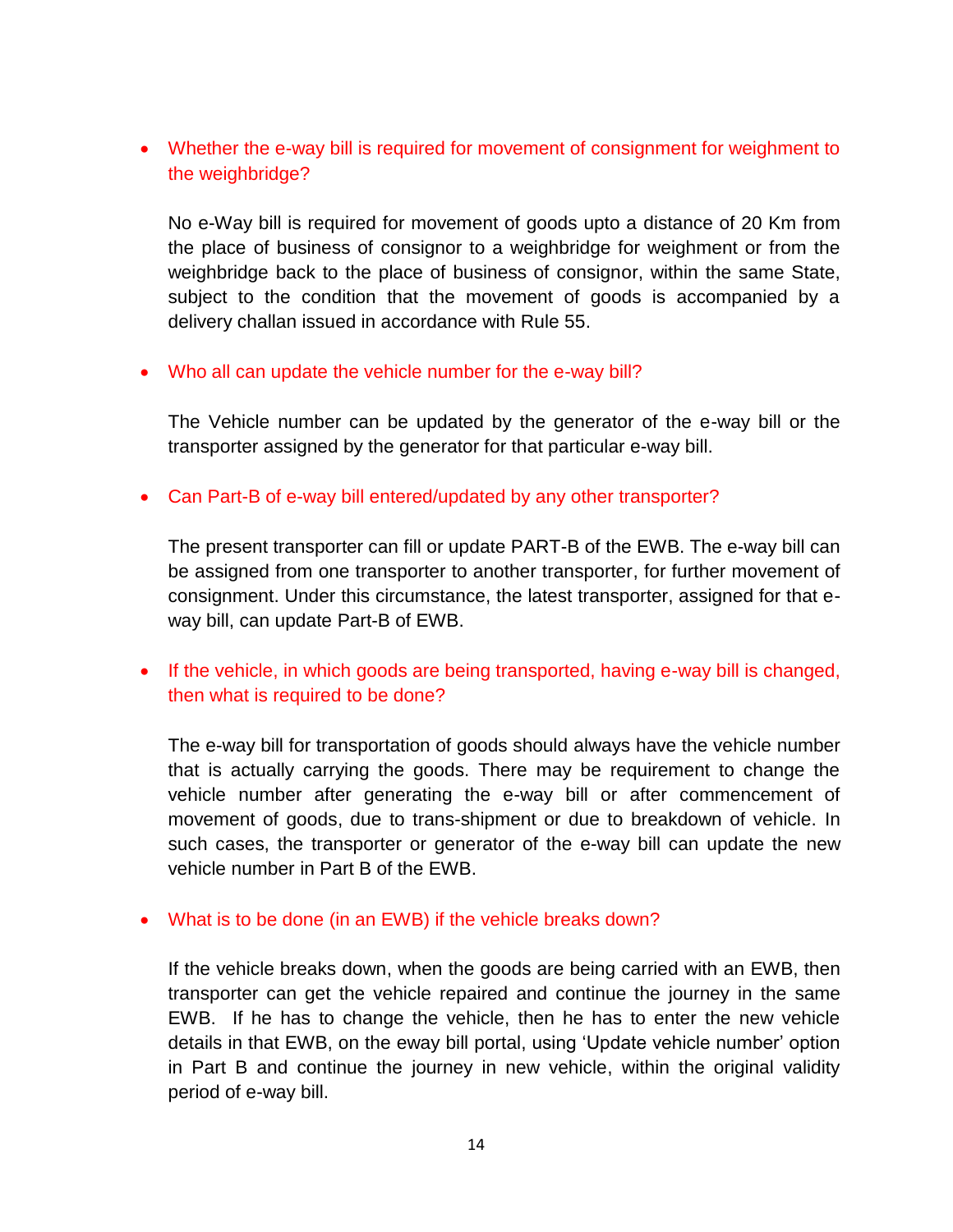Whether the e-way bill is required for movement of consignment for weighment to the weighbridge?

No e-Way bill is required for movement of goods upto a distance of 20 Km from the place of business of consignor to a weighbridge for weighment or from the weighbridge back to the place of business of consignor, within the same State, subject to the condition that the movement of goods is accompanied by a delivery challan issued in accordance with Rule 55.

• Who all can update the vehicle number for the e-way bill?

The Vehicle number can be updated by the generator of the e-way bill or the transporter assigned by the generator for that particular e-way bill.

• Can Part-B of e-way bill entered/updated by any other transporter?

The present transporter can fill or update PART-B of the EWB. The e-way bill can be assigned from one transporter to another transporter, for further movement of consignment. Under this circumstance, the latest transporter, assigned for that eway bill, can update Part-B of EWB.

• If the vehicle, in which goods are being transported, having e-way bill is changed, then what is required to be done?

The e-way bill for transportation of goods should always have the vehicle number that is actually carrying the goods. There may be requirement to change the vehicle number after generating the e-way bill or after commencement of movement of goods, due to trans-shipment or due to breakdown of vehicle. In such cases, the transporter or generator of the e-way bill can update the new vehicle number in Part B of the EWB.

What is to be done (in an EWB) if the vehicle breaks down?

If the vehicle breaks down, when the goods are being carried with an EWB, then transporter can get the vehicle repaired and continue the journey in the same EWB. If he has to change the vehicle, then he has to enter the new vehicle details in that EWB, on the eway bill portal, using 'Update vehicle number' option in Part B and continue the journey in new vehicle, within the original validity period of e-way bill.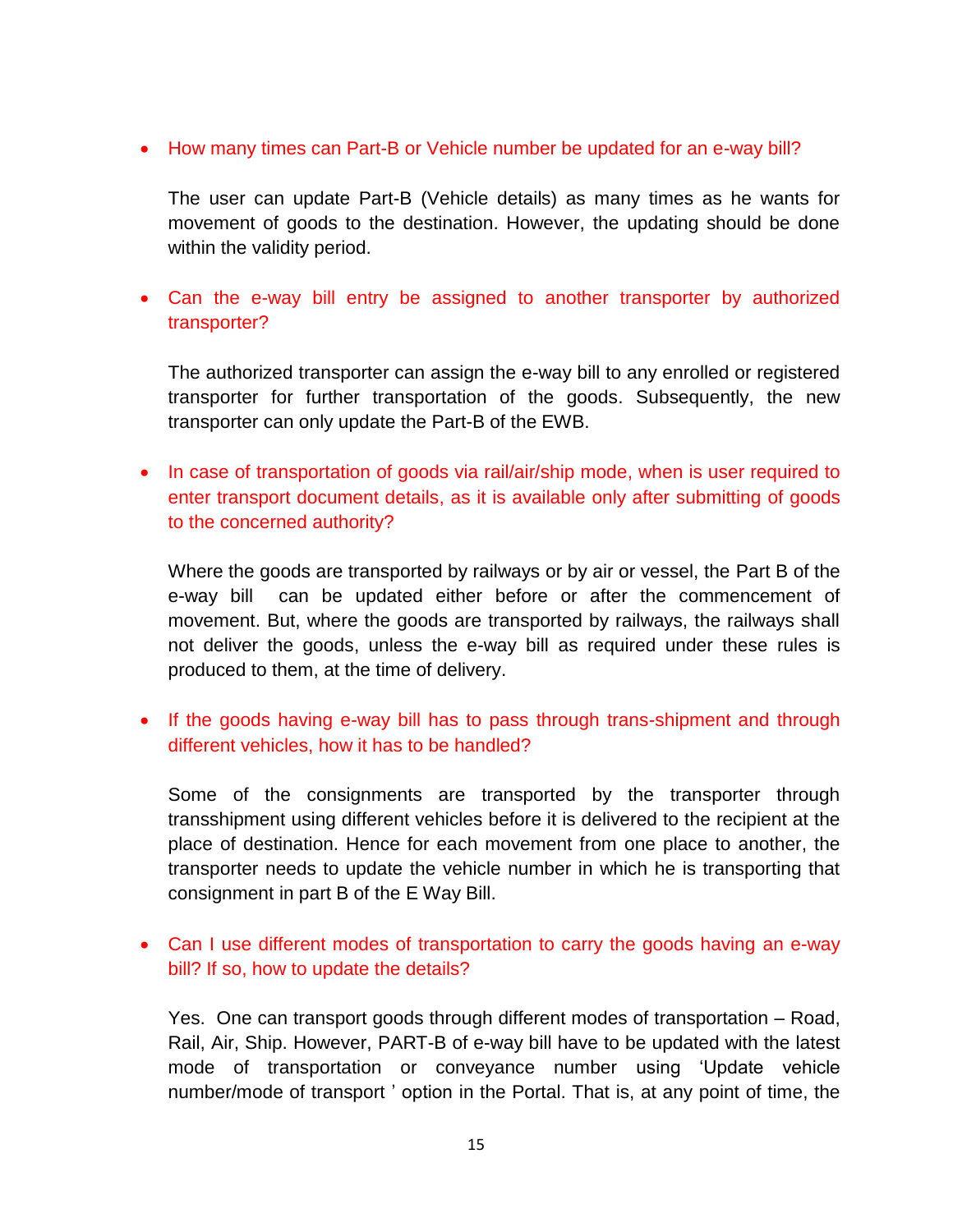• How many times can Part-B or Vehicle number be updated for an e-way bill?

The user can update Part-B (Vehicle details) as many times as he wants for movement of goods to the destination. However, the updating should be done within the validity period.

 Can the e-way bill entry be assigned to another transporter by authorized transporter?

The authorized transporter can assign the e-way bill to any enrolled or registered transporter for further transportation of the goods. Subsequently, the new transporter can only update the Part-B of the EWB.

• In case of transportation of goods via rail/air/ship mode, when is user required to enter transport document details, as it is available only after submitting of goods to the concerned authority?

Where the goods are transported by railways or by air or vessel, the Part B of the e-way bill can be updated either before or after the commencement of movement. But, where the goods are transported by railways, the railways shall not deliver the goods, unless the e-way bill as required under these rules is produced to them, at the time of delivery.

• If the goods having e-way bill has to pass through trans-shipment and through different vehicles, how it has to be handled?

Some of the consignments are transported by the transporter through transshipment using different vehicles before it is delivered to the recipient at the place of destination. Hence for each movement from one place to another, the transporter needs to update the vehicle number in which he is transporting that consignment in part B of the E Way Bill.

 Can I use different modes of transportation to carry the goods having an e-way bill? If so, how to update the details?

Yes. One can transport goods through different modes of transportation – Road, Rail, Air, Ship. However, PART-B of e-way bill have to be updated with the latest mode of transportation or conveyance number using 'Update vehicle number/mode of transport ' option in the Portal. That is, at any point of time, the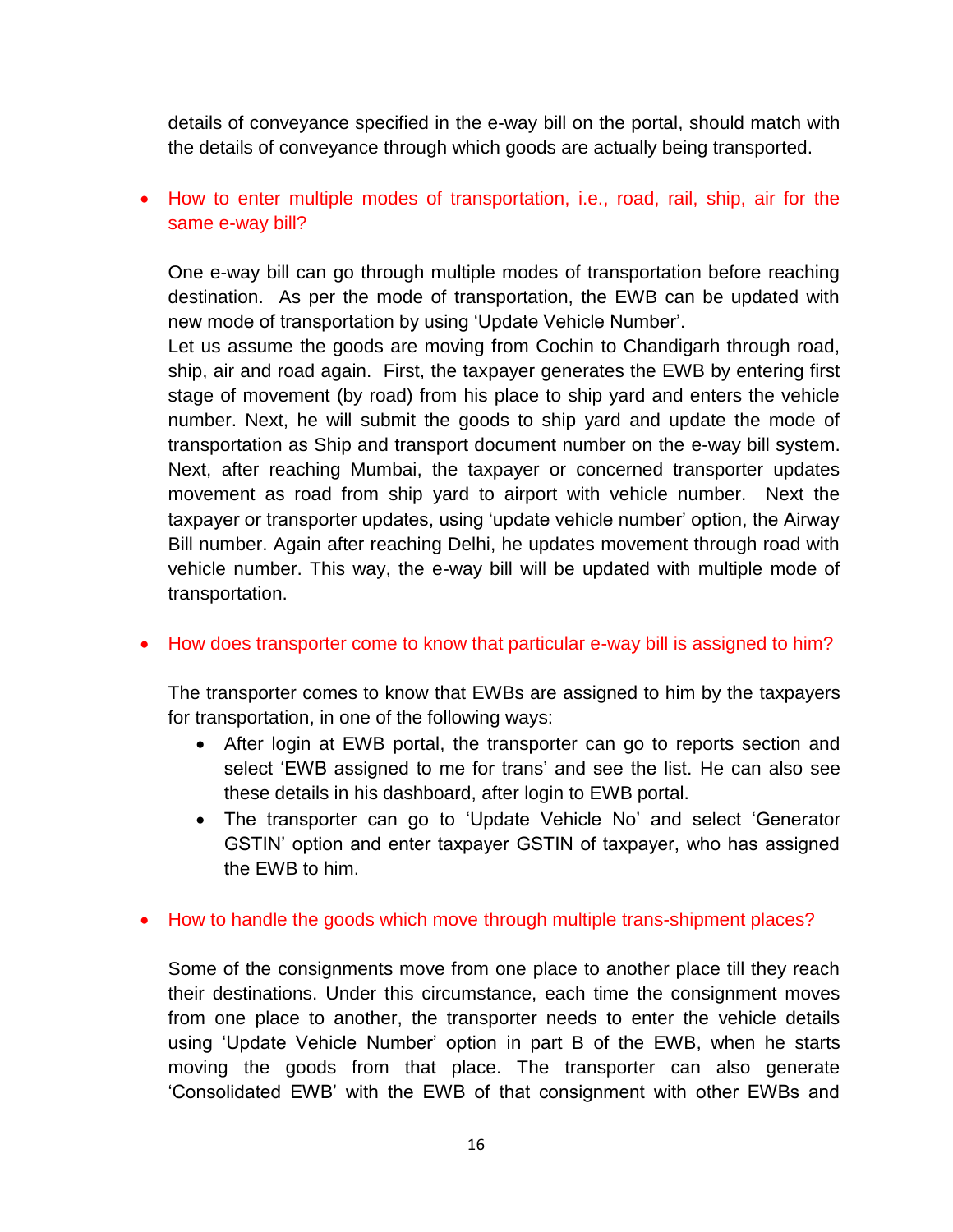details of conveyance specified in the e-way bill on the portal, should match with the details of conveyance through which goods are actually being transported.

# How to enter multiple modes of transportation, i.e., road, rail, ship, air for the same e-way bill?

One e-way bill can go through multiple modes of transportation before reaching destination. As per the mode of transportation, the EWB can be updated with new mode of transportation by using 'Update Vehicle Number'.

Let us assume the goods are moving from Cochin to Chandigarh through road, ship, air and road again. First, the taxpayer generates the EWB by entering first stage of movement (by road) from his place to ship yard and enters the vehicle number. Next, he will submit the goods to ship yard and update the mode of transportation as Ship and transport document number on the e-way bill system. Next, after reaching Mumbai, the taxpayer or concerned transporter updates movement as road from ship yard to airport with vehicle number. Next the taxpayer or transporter updates, using 'update vehicle number' option, the Airway Bill number. Again after reaching Delhi, he updates movement through road with vehicle number. This way, the e-way bill will be updated with multiple mode of transportation.

## • How does transporter come to know that particular e-way bill is assigned to him?

The transporter comes to know that EWBs are assigned to him by the taxpayers for transportation, in one of the following ways:

- After login at EWB portal, the transporter can go to reports section and select 'EWB assigned to me for trans' and see the list. He can also see these details in his dashboard, after login to EWB portal.
- The transporter can go to 'Update Vehicle No' and select 'Generator GSTIN' option and enter taxpayer GSTIN of taxpayer, who has assigned the EWB to him.
- How to handle the goods which move through multiple trans-shipment places?

Some of the consignments move from one place to another place till they reach their destinations. Under this circumstance, each time the consignment moves from one place to another, the transporter needs to enter the vehicle details using 'Update Vehicle Number' option in part B of the EWB, when he starts moving the goods from that place. The transporter can also generate 'Consolidated EWB' with the EWB of that consignment with other EWBs and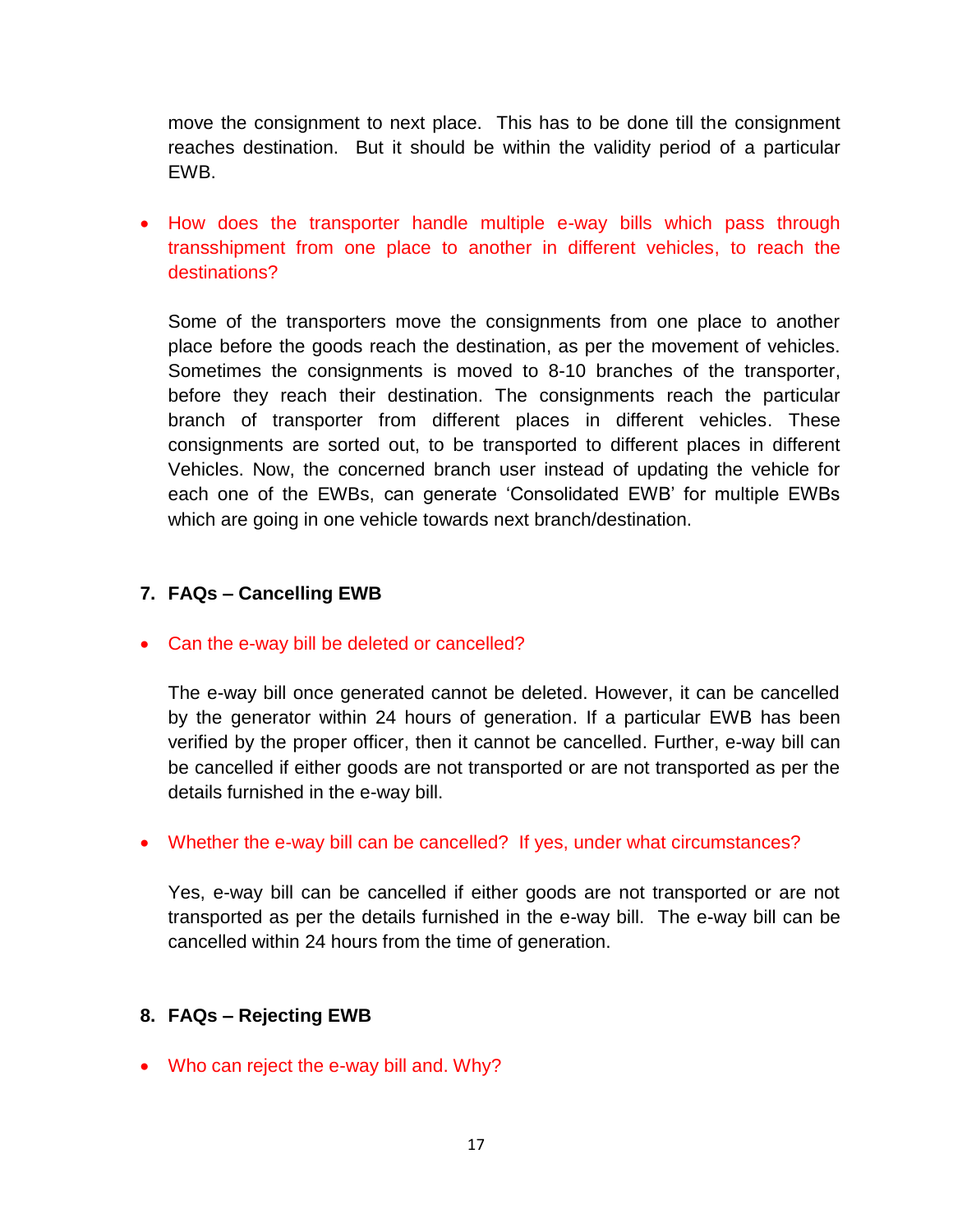move the consignment to next place. This has to be done till the consignment reaches destination. But it should be within the validity period of a particular EWB.

• How does the transporter handle multiple e-way bills which pass through transshipment from one place to another in different vehicles, to reach the destinations?

Some of the transporters move the consignments from one place to another place before the goods reach the destination, as per the movement of vehicles. Sometimes the consignments is moved to 8-10 branches of the transporter, before they reach their destination. The consignments reach the particular branch of transporter from different places in different vehicles. These consignments are sorted out, to be transported to different places in different Vehicles. Now, the concerned branch user instead of updating the vehicle for each one of the EWBs, can generate 'Consolidated EWB' for multiple EWBs which are going in one vehicle towards next branch/destination.

# **7. FAQs – Cancelling EWB**

• Can the e-way bill be deleted or cancelled?

The e-way bill once generated cannot be deleted. However, it can be cancelled by the generator within 24 hours of generation. If a particular EWB has been verified by the proper officer, then it cannot be cancelled. Further, e-way bill can be cancelled if either goods are not transported or are not transported as per the details furnished in the e-way bill.

Whether the e-way bill can be cancelled? If yes, under what circumstances?

Yes, e-way bill can be cancelled if either goods are not transported or are not transported as per the details furnished in the e-way bill. The e-way bill can be cancelled within 24 hours from the time of generation.

## **8. FAQs – Rejecting EWB**

• Who can reject the e-way bill and. Why?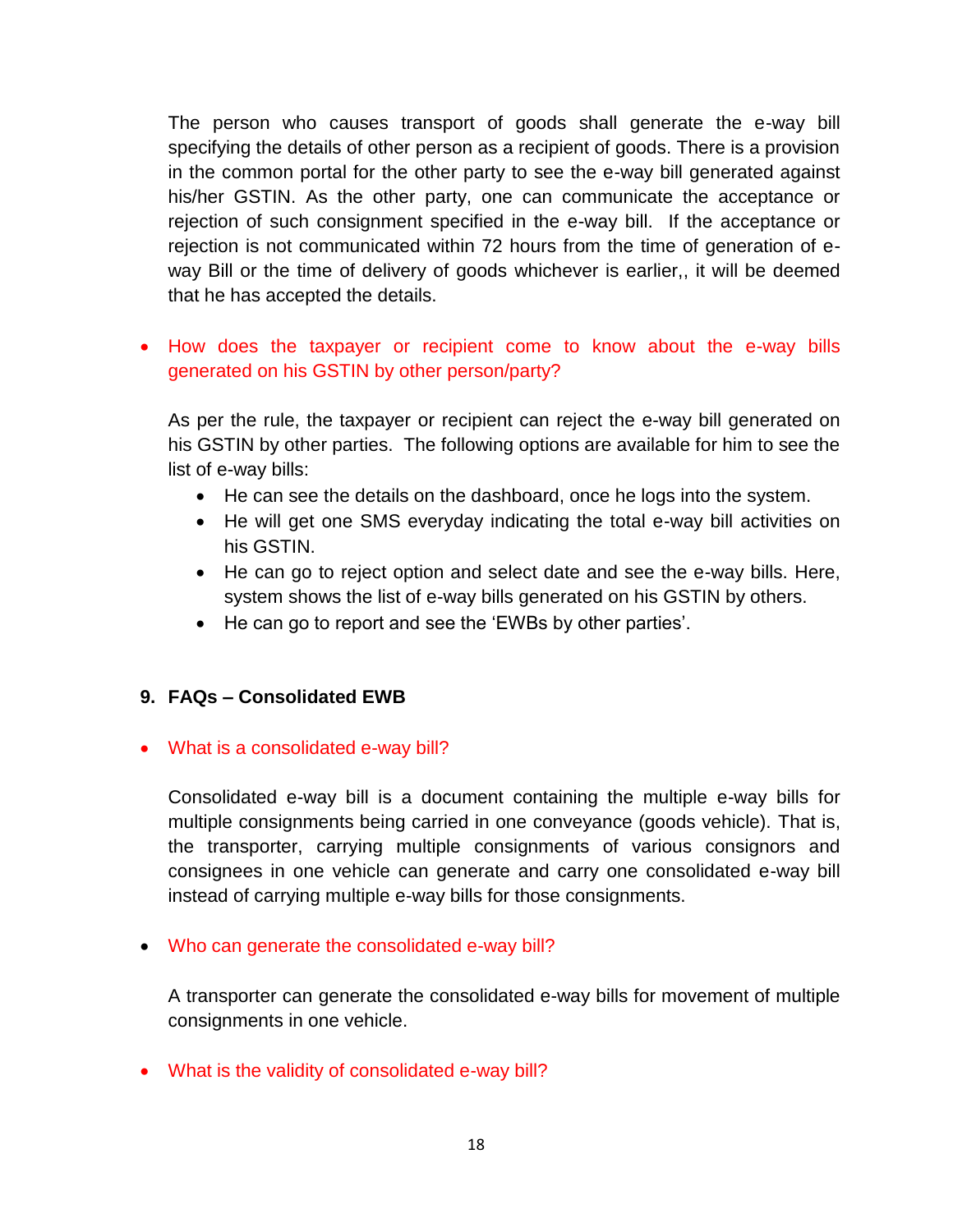The person who causes transport of goods shall generate the e-way bill specifying the details of other person as a recipient of goods. There is a provision in the common portal for the other party to see the e-way bill generated against his/her GSTIN. As the other party, one can communicate the acceptance or rejection of such consignment specified in the e-way bill. If the acceptance or rejection is not communicated within 72 hours from the time of generation of eway Bill or the time of delivery of goods whichever is earlier,, it will be deemed that he has accepted the details.

# • How does the taxpayer or recipient come to know about the e-way bills generated on his GSTIN by other person/party?

As per the rule, the taxpayer or recipient can reject the e-way bill generated on his GSTIN by other parties. The following options are available for him to see the list of e-way bills:

- He can see the details on the dashboard, once he logs into the system.
- He will get one SMS everyday indicating the total e-way bill activities on his GSTIN.
- He can go to reject option and select date and see the e-way bills. Here, system shows the list of e-way bills generated on his GSTIN by others.
- He can go to report and see the 'EWBs by other parties'.

# **9. FAQs – Consolidated EWB**

## What is a consolidated e-way bill?

Consolidated e-way bill is a document containing the multiple e-way bills for multiple consignments being carried in one conveyance (goods vehicle). That is, the transporter, carrying multiple consignments of various consignors and consignees in one vehicle can generate and carry one consolidated e-way bill instead of carrying multiple e-way bills for those consignments.

## Who can generate the consolidated e-way bill?

A transporter can generate the consolidated e-way bills for movement of multiple consignments in one vehicle.

What is the validity of consolidated e-way bill?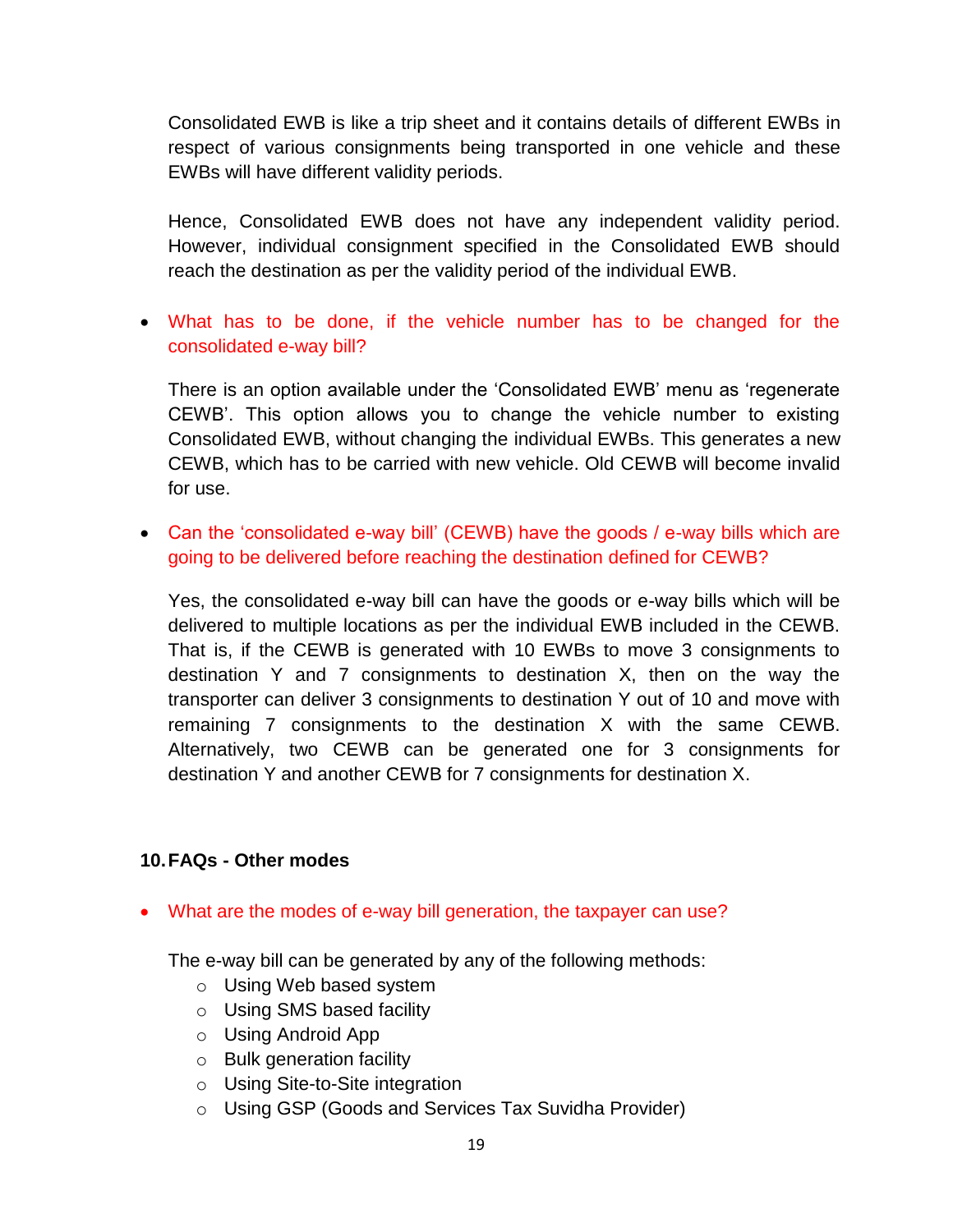Consolidated EWB is like a trip sheet and it contains details of different EWBs in respect of various consignments being transported in one vehicle and these EWBs will have different validity periods.

Hence, Consolidated EWB does not have any independent validity period. However, individual consignment specified in the Consolidated EWB should reach the destination as per the validity period of the individual EWB.

 What has to be done, if the vehicle number has to be changed for the consolidated e-way bill?

There is an option available under the 'Consolidated EWB' menu as 'regenerate CEWB'. This option allows you to change the vehicle number to existing Consolidated EWB, without changing the individual EWBs. This generates a new CEWB, which has to be carried with new vehicle. Old CEWB will become invalid for use.

• Can the 'consolidated e-way bill' (CEWB) have the goods / e-way bills which are going to be delivered before reaching the destination defined for CEWB?

Yes, the consolidated e-way bill can have the goods or e-way bills which will be delivered to multiple locations as per the individual EWB included in the CEWB. That is, if the CEWB is generated with 10 EWBs to move 3 consignments to destination Y and 7 consignments to destination X, then on the way the transporter can deliver 3 consignments to destination Y out of 10 and move with remaining 7 consignments to the destination X with the same CEWB. Alternatively, two CEWB can be generated one for 3 consignments for destination Y and another CEWB for 7 consignments for destination X.

## **10.FAQs - Other modes**

What are the modes of e-way bill generation, the taxpayer can use?

The e-way bill can be generated by any of the following methods:

- o Using Web based system
- o Using SMS based facility
- o Using Android App
- o Bulk generation facility
- o Using Site-to-Site integration
- o Using GSP (Goods and Services Tax Suvidha Provider)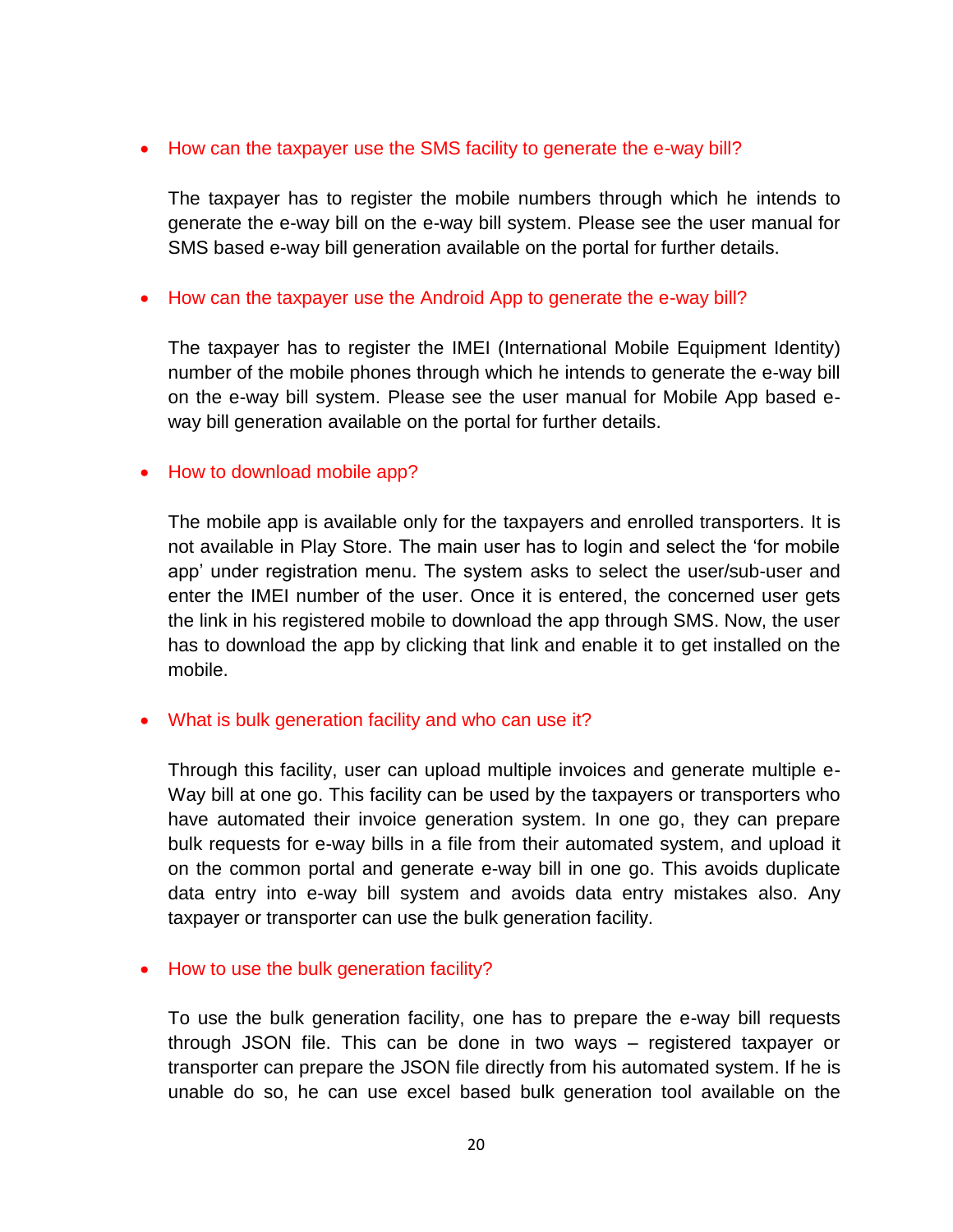### • How can the taxpayer use the SMS facility to generate the e-way bill?

The taxpayer has to register the mobile numbers through which he intends to generate the e-way bill on the e-way bill system. Please see the user manual for SMS based e-way bill generation available on the portal for further details.

### • How can the taxpayer use the Android App to generate the e-way bill?

The taxpayer has to register the IMEI (International Mobile Equipment Identity) number of the mobile phones through which he intends to generate the e-way bill on the e-way bill system. Please see the user manual for Mobile App based eway bill generation available on the portal for further details.

### • How to download mobile app?

The mobile app is available only for the taxpayers and enrolled transporters. It is not available in Play Store. The main user has to login and select the 'for mobile app' under registration menu. The system asks to select the user/sub-user and enter the IMEI number of the user. Once it is entered, the concerned user gets the link in his registered mobile to download the app through SMS. Now, the user has to download the app by clicking that link and enable it to get installed on the mobile.

#### What is bulk generation facility and who can use it?

Through this facility, user can upload multiple invoices and generate multiple e-Way bill at one go. This facility can be used by the taxpayers or transporters who have automated their invoice generation system. In one go, they can prepare bulk requests for e-way bills in a file from their automated system, and upload it on the common portal and generate e-way bill in one go. This avoids duplicate data entry into e-way bill system and avoids data entry mistakes also. Any taxpayer or transporter can use the bulk generation facility.

## • How to use the bulk generation facility?

To use the bulk generation facility, one has to prepare the e-way bill requests through JSON file. This can be done in two ways – registered taxpayer or transporter can prepare the JSON file directly from his automated system. If he is unable do so, he can use excel based bulk generation tool available on the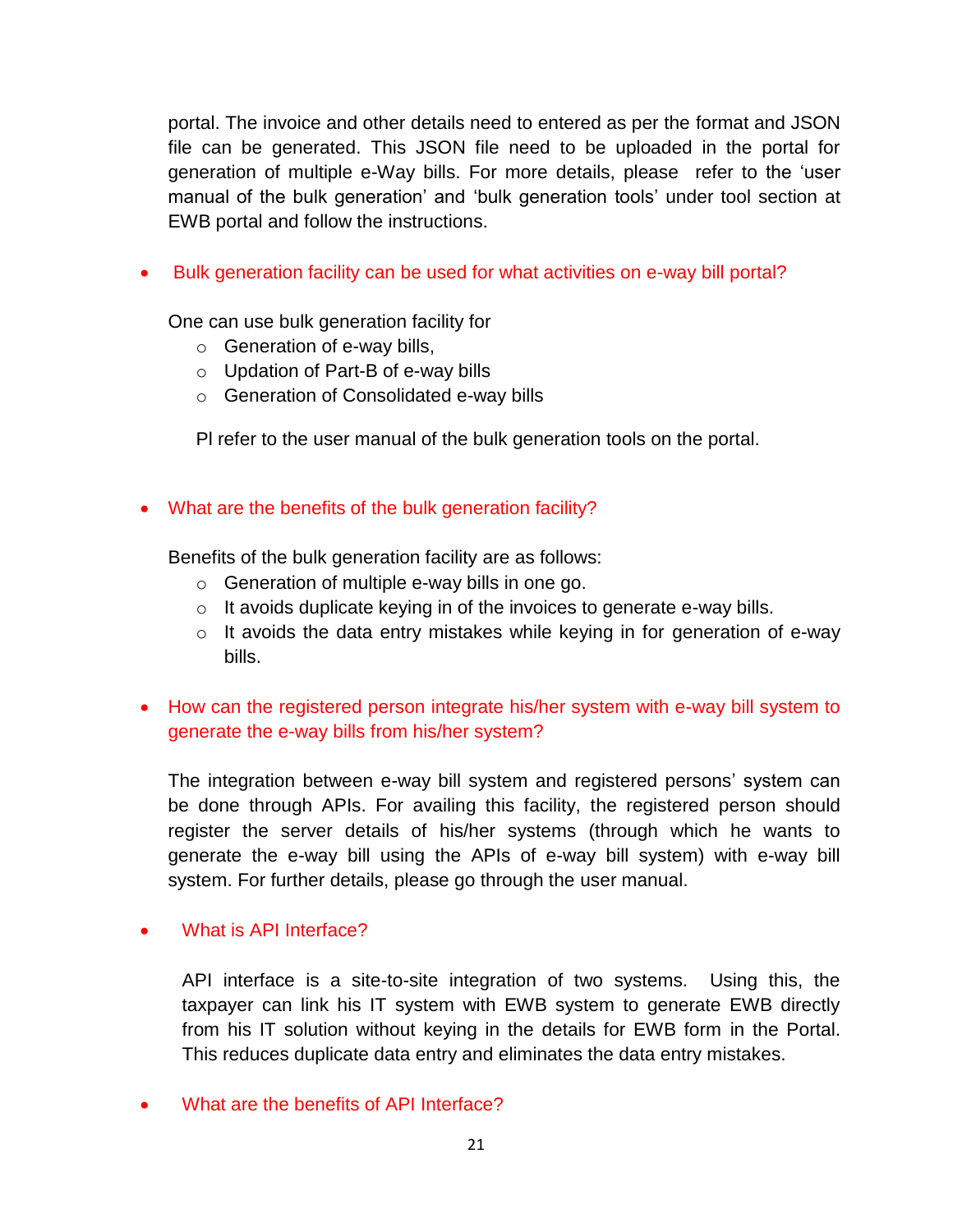portal. The invoice and other details need to entered as per the format and JSON file can be generated. This JSON file need to be uploaded in the portal for generation of multiple e-Way bills. For more details, please refer to the 'user manual of the bulk generation' and 'bulk generation tools' under tool section at EWB portal and follow the instructions.

• Bulk generation facility can be used for what activities on e-way bill portal?

One can use bulk generation facility for

- o Generation of e-way bills,
- o Updation of Part-B of e-way bills
- o Generation of Consolidated e-way bills

Pl refer to the user manual of the bulk generation tools on the portal.

# • What are the benefits of the bulk generation facility?

Benefits of the bulk generation facility are as follows:

- o Generation of multiple e-way bills in one go.
- o It avoids duplicate keying in of the invoices to generate e-way bills.
- o It avoids the data entry mistakes while keying in for generation of e-way bills.
- How can the registered person integrate his/her system with e-way bill system to generate the e-way bills from his/her system?

The integration between e-way bill system and registered persons' system can be done through APIs. For availing this facility, the registered person should register the server details of his/her systems (through which he wants to generate the e-way bill using the APIs of e-way bill system) with e-way bill system. For further details, please go through the user manual.

# What is API Interface?

API interface is a site-to-site integration of two systems. Using this, the taxpayer can link his IT system with EWB system to generate EWB directly from his IT solution without keying in the details for EWB form in the Portal. This reduces duplicate data entry and eliminates the data entry mistakes.

What are the benefits of API Interface?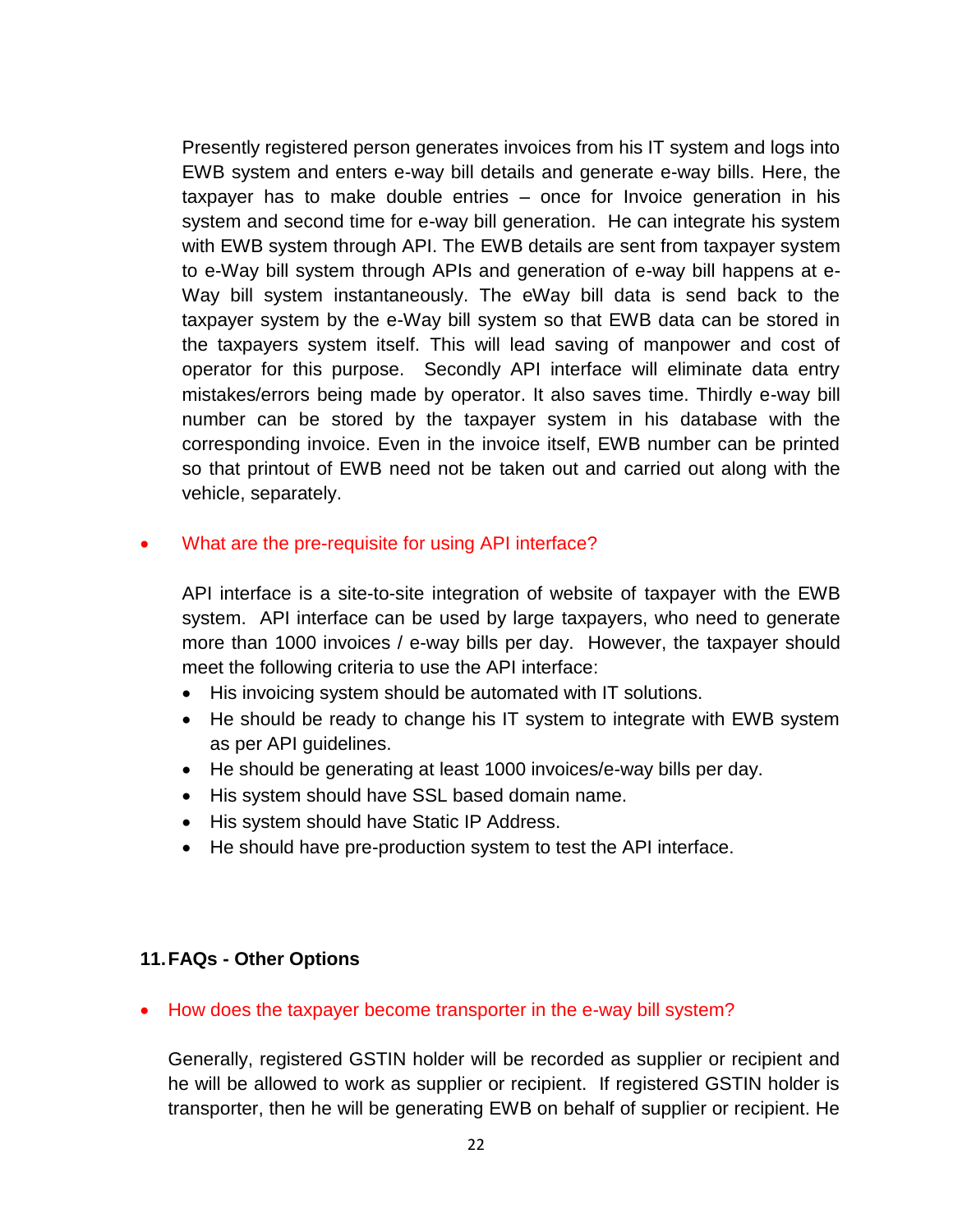Presently registered person generates invoices from his IT system and logs into EWB system and enters e-way bill details and generate e-way bills. Here, the taxpayer has to make double entries – once for Invoice generation in his system and second time for e-way bill generation. He can integrate his system with EWB system through API. The EWB details are sent from taxpayer system to e-Way bill system through APIs and generation of e-way bill happens at e-Way bill system instantaneously. The eWay bill data is send back to the taxpayer system by the e-Way bill system so that EWB data can be stored in the taxpayers system itself. This will lead saving of manpower and cost of operator for this purpose. Secondly API interface will eliminate data entry mistakes/errors being made by operator. It also saves time. Thirdly e-way bill number can be stored by the taxpayer system in his database with the corresponding invoice. Even in the invoice itself, EWB number can be printed so that printout of EWB need not be taken out and carried out along with the vehicle, separately.

## What are the pre-requisite for using API interface?

API interface is a site-to-site integration of website of taxpayer with the EWB system. API interface can be used by large taxpayers, who need to generate more than 1000 invoices / e-way bills per day. However, the taxpayer should meet the following criteria to use the API interface:

- His invoicing system should be automated with IT solutions.
- He should be ready to change his IT system to integrate with EWB system as per API guidelines.
- He should be generating at least 1000 invoices/e-way bills per day.
- His system should have SSL based domain name.
- His system should have Static IP Address.
- He should have pre-production system to test the API interface.

## **11.FAQs - Other Options**

• How does the taxpayer become transporter in the e-way bill system?

Generally, registered GSTIN holder will be recorded as supplier or recipient and he will be allowed to work as supplier or recipient. If registered GSTIN holder is transporter, then he will be generating EWB on behalf of supplier or recipient. He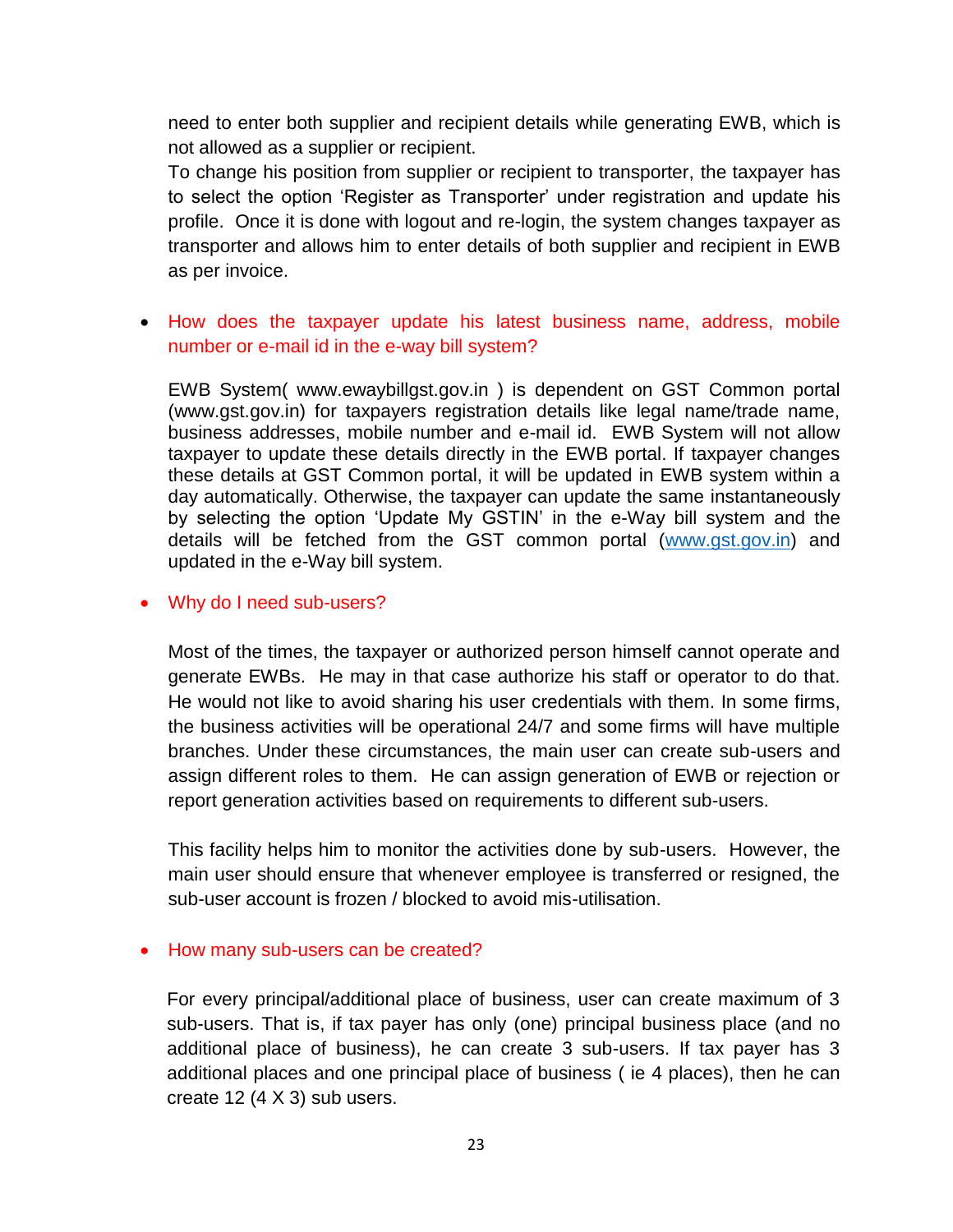need to enter both supplier and recipient details while generating EWB, which is not allowed as a supplier or recipient.

To change his position from supplier or recipient to transporter, the taxpayer has to select the option 'Register as Transporter' under registration and update his profile. Once it is done with logout and re-login, the system changes taxpayer as transporter and allows him to enter details of both supplier and recipient in EWB as per invoice.

## How does the taxpayer update his latest business name, address, mobile number or e-mail id in the e-way bill system?

EWB System( [www.ewaybillgst.gov.in](http://www.ewaybillgst.gov.in/) ) is dependent on GST Common portal (www.gst.gov.in) for taxpayers registration details like legal name/trade name, business addresses, mobile number and e-mail id. EWB System will not allow taxpayer to update these details directly in the EWB portal. If taxpayer changes these details at GST Common portal, it will be updated in EWB system within a day automatically. Otherwise, the taxpayer can update the same instantaneously by selecting the option 'Update My GSTIN' in the e-Way bill system and the details will be fetched from the GST common portal [\(www.gst.gov.in\)](http://www.gst.gov.in/) and updated in the e-Way bill system.

### Why do I need sub-users?

Most of the times, the taxpayer or authorized person himself cannot operate and generate EWBs. He may in that case authorize his staff or operator to do that. He would not like to avoid sharing his user credentials with them. In some firms, the business activities will be operational 24/7 and some firms will have multiple branches. Under these circumstances, the main user can create sub-users and assign different roles to them. He can assign generation of EWB or rejection or report generation activities based on requirements to different sub-users.

This facility helps him to monitor the activities done by sub-users. However, the main user should ensure that whenever employee is transferred or resigned, the sub-user account is frozen / blocked to avoid mis-utilisation.

#### • How many sub-users can be created?

For every principal/additional place of business, user can create maximum of 3 sub-users. That is, if tax payer has only (one) principal business place (and no additional place of business), he can create 3 sub-users. If tax payer has 3 additional places and one principal place of business ( ie 4 places), then he can create 12 (4 X 3) sub users.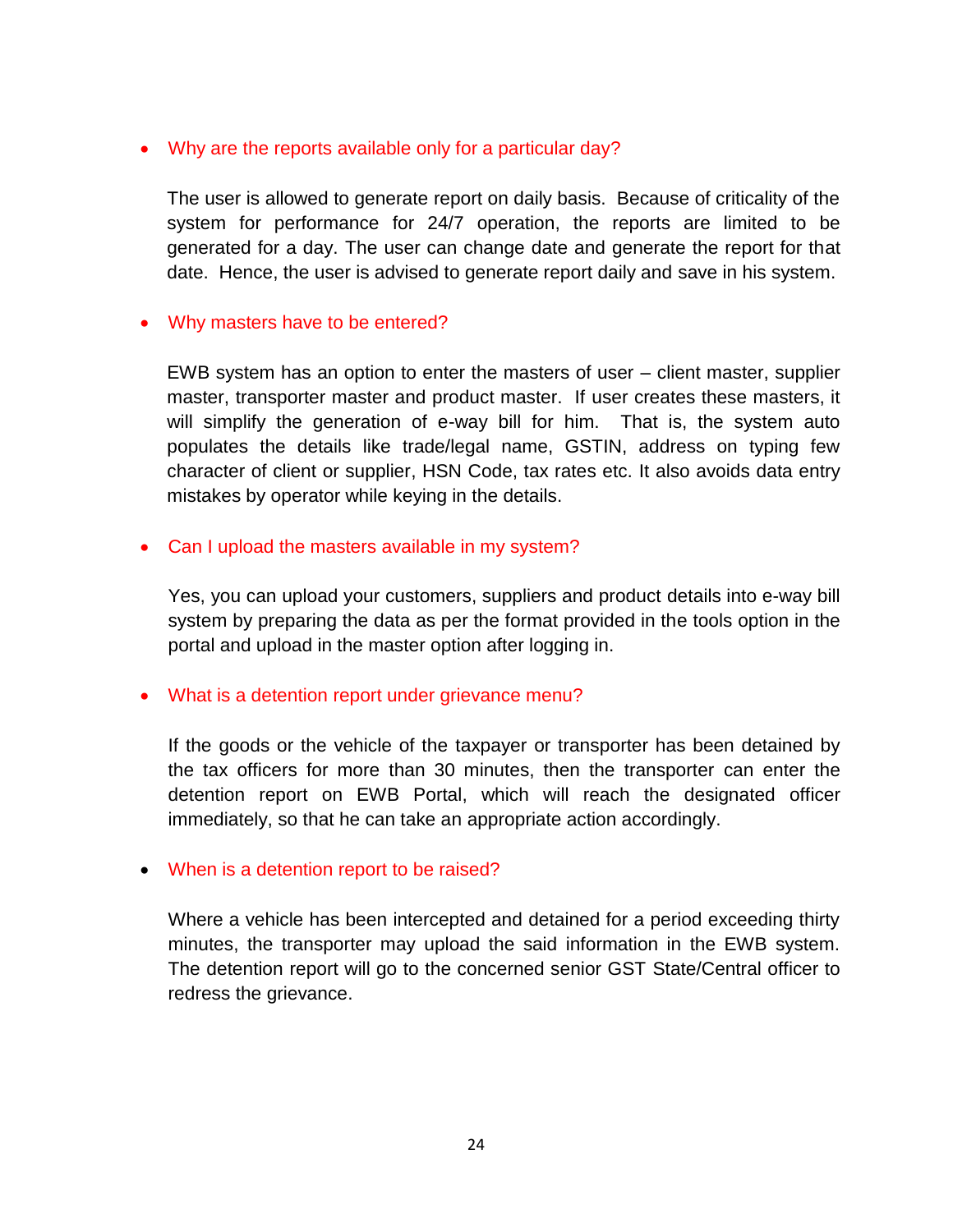### Why are the reports available only for a particular day?

The user is allowed to generate report on daily basis. Because of criticality of the system for performance for 24/7 operation, the reports are limited to be generated for a day. The user can change date and generate the report for that date. Hence, the user is advised to generate report daily and save in his system.

### • Why masters have to be entered?

EWB system has an option to enter the masters of user – client master, supplier master, transporter master and product master. If user creates these masters, it will simplify the generation of e-way bill for him. That is, the system auto populates the details like trade/legal name, GSTIN, address on typing few character of client or supplier, HSN Code, tax rates etc. It also avoids data entry mistakes by operator while keying in the details.

### • Can I upload the masters available in my system?

Yes, you can upload your customers, suppliers and product details into e-way bill system by preparing the data as per the format provided in the tools option in the portal and upload in the master option after logging in.

## What is a detention report under grievance menu?

If the goods or the vehicle of the taxpayer or transporter has been detained by the tax officers for more than 30 minutes, then the transporter can enter the detention report on EWB Portal, which will reach the designated officer immediately, so that he can take an appropriate action accordingly.

#### When is a detention report to be raised?

Where a vehicle has been intercepted and detained for a period exceeding thirty minutes, the transporter may upload the said information in the EWB system. The detention report will go to the concerned senior GST State/Central officer to redress the grievance.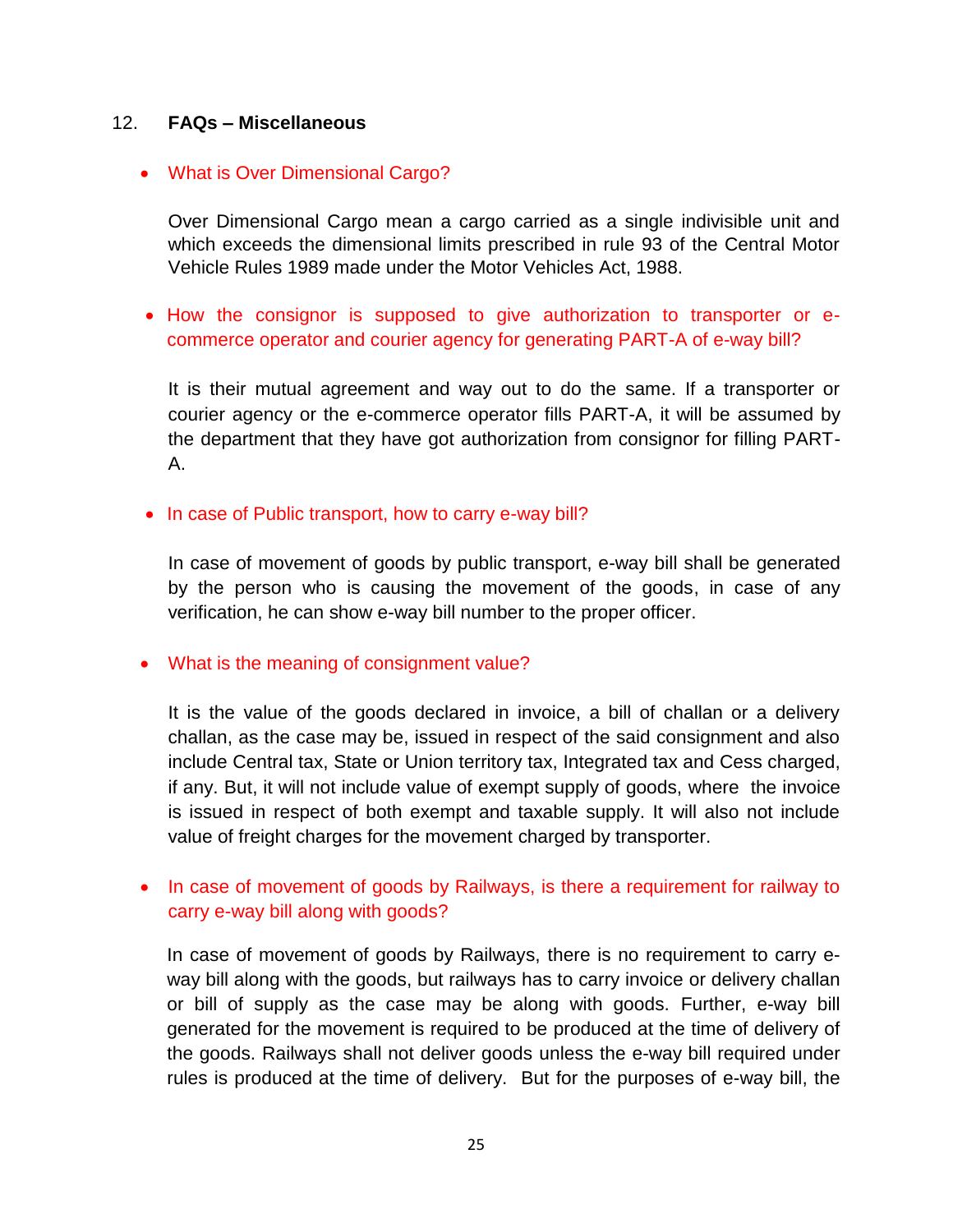### 12. **FAQs – Miscellaneous**

### What is Over Dimensional Cargo?

Over Dimensional Cargo mean a cargo carried as a single indivisible unit and which exceeds the dimensional limits prescribed in rule 93 of the Central Motor Vehicle Rules 1989 made under the Motor Vehicles Act, 1988.

• How the consignor is supposed to give authorization to transporter or ecommerce operator and courier agency for generating PART-A of e-way bill?

It is their mutual agreement and way out to do the same. If a transporter or courier agency or the e-commerce operator fills PART-A, it will be assumed by the department that they have got authorization from consignor for filling PART-A.

#### • In case of Public transport, how to carry e-way bill?

In case of movement of goods by public transport, e-way bill shall be generated by the person who is causing the movement of the goods, in case of any verification, he can show e-way bill number to the proper officer.

• What is the meaning of consignment value?

It is the value of the goods declared in invoice, a bill of challan or a delivery challan, as the case may be, issued in respect of the said consignment and also include Central tax, State or Union territory tax, Integrated tax and Cess charged, if any. But, it will not include value of exempt supply of goods, where the invoice is issued in respect of both exempt and taxable supply. It will also not include value of freight charges for the movement charged by transporter.

• In case of movement of goods by Railways, is there a requirement for railway to carry e-way bill along with goods?

In case of movement of goods by Railways, there is no requirement to carry eway bill along with the goods, but railways has to carry invoice or delivery challan or bill of supply as the case may be along with goods. Further, e-way bill generated for the movement is required to be produced at the time of delivery of the goods. Railways shall not deliver goods unless the e-way bill required under rules is produced at the time of delivery. But for the purposes of e-way bill, the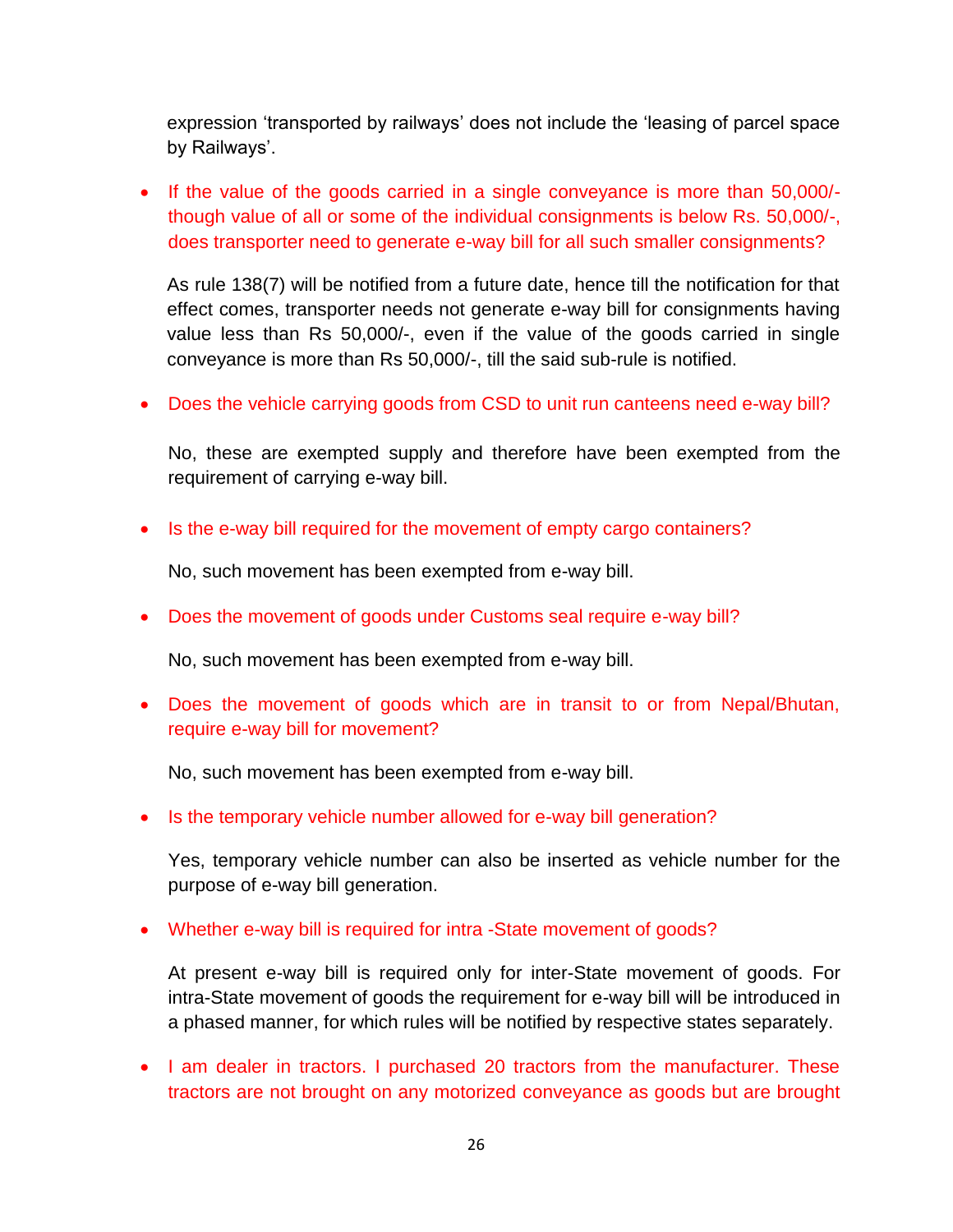expression 'transported by railways' does not include the 'leasing of parcel space by Railways'.

 If the value of the goods carried in a single conveyance is more than 50,000/ though value of all or some of the individual consignments is below Rs. 50,000/-, does transporter need to generate e-way bill for all such smaller consignments?

As rule 138(7) will be notified from a future date, hence till the notification for that effect comes, transporter needs not generate e-way bill for consignments having value less than Rs 50,000/-, even if the value of the goods carried in single conveyance is more than Rs 50,000/-, till the said sub-rule is notified.

Does the vehicle carrying goods from CSD to unit run canteens need e-way bill?

No, these are exempted supply and therefore have been exempted from the requirement of carrying e-way bill.

• Is the e-way bill required for the movement of empty cargo containers?

No, such movement has been exempted from e-way bill.

Does the movement of goods under Customs seal require e-way bill?

No, such movement has been exempted from e-way bill.

 Does the movement of goods which are in transit to or from Nepal/Bhutan, require e-way bill for movement?

No, such movement has been exempted from e-way bill.

• Is the temporary vehicle number allowed for e-way bill generation?

Yes, temporary vehicle number can also be inserted as vehicle number for the purpose of e-way bill generation.

Whether e-way bill is required for intra -State movement of goods?

At present e-way bill is required only for inter-State movement of goods. For intra-State movement of goods the requirement for e-way bill will be introduced in a phased manner, for which rules will be notified by respective states separately.

• I am dealer in tractors. I purchased 20 tractors from the manufacturer. These tractors are not brought on any motorized conveyance as goods but are brought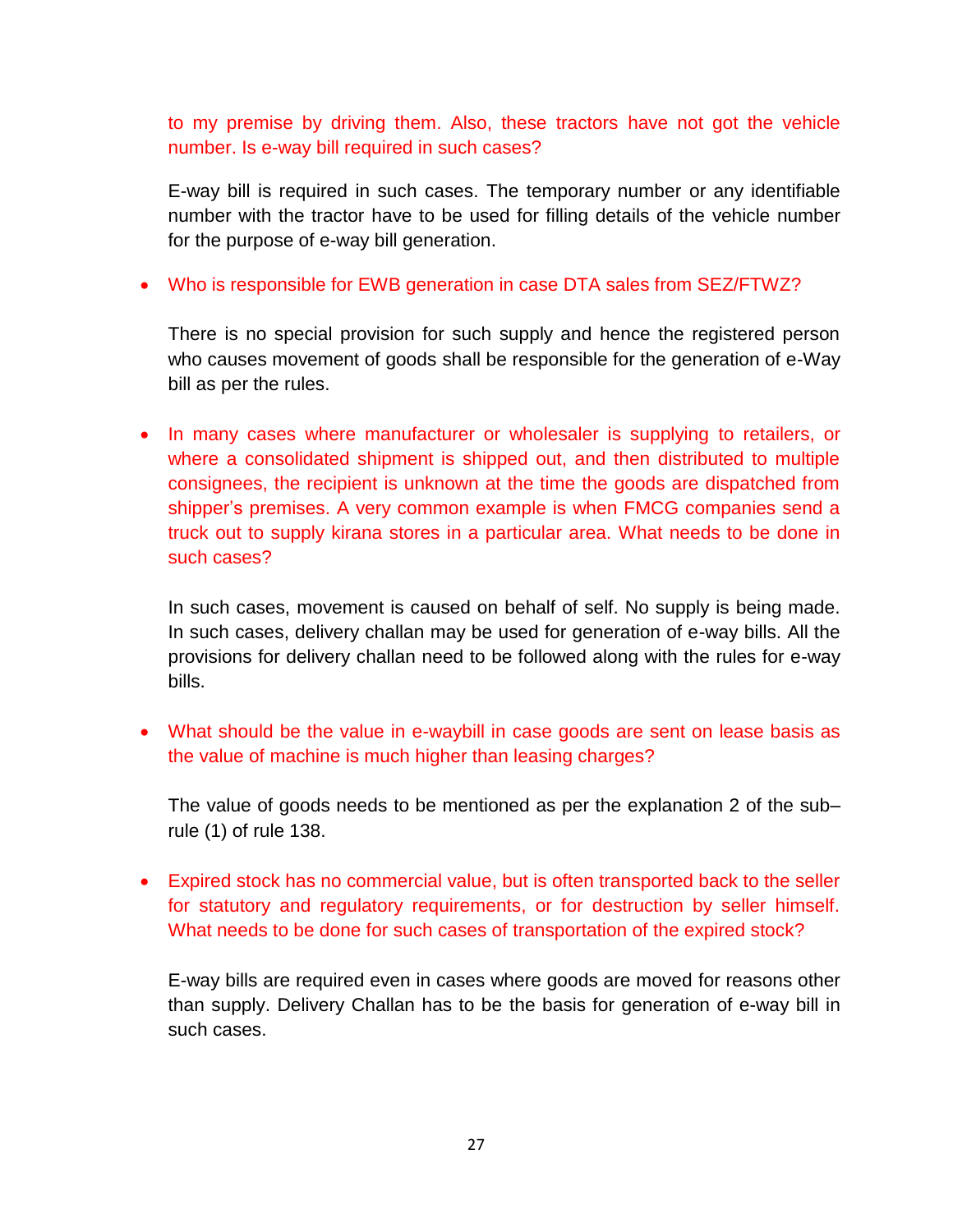to my premise by driving them. Also, these tractors have not got the vehicle number. Is e-way bill required in such cases?

E-way bill is required in such cases. The temporary number or any identifiable number with the tractor have to be used for filling details of the vehicle number for the purpose of e-way bill generation.

Who is responsible for EWB generation in case DTA sales from SEZ/FTWZ?

There is no special provision for such supply and hence the registered person who causes movement of goods shall be responsible for the generation of e-Way bill as per the rules.

• In many cases where manufacturer or wholesaler is supplying to retailers, or where a consolidated shipment is shipped out, and then distributed to multiple consignees, the recipient is unknown at the time the goods are dispatched from shipper's premises. A very common example is when FMCG companies send a truck out to supply kirana stores in a particular area. What needs to be done in such cases?

In such cases, movement is caused on behalf of self. No supply is being made. In such cases, delivery challan may be used for generation of e-way bills. All the provisions for delivery challan need to be followed along with the rules for e-way bills.

 What should be the value in e-waybill in case goods are sent on lease basis as the value of machine is much higher than leasing charges?

The value of goods needs to be mentioned as per the explanation 2 of the sub– rule (1) of rule 138.

 Expired stock has no commercial value, but is often transported back to the seller for statutory and regulatory requirements, or for destruction by seller himself. What needs to be done for such cases of transportation of the expired stock?

E-way bills are required even in cases where goods are moved for reasons other than supply. Delivery Challan has to be the basis for generation of e-way bill in such cases.